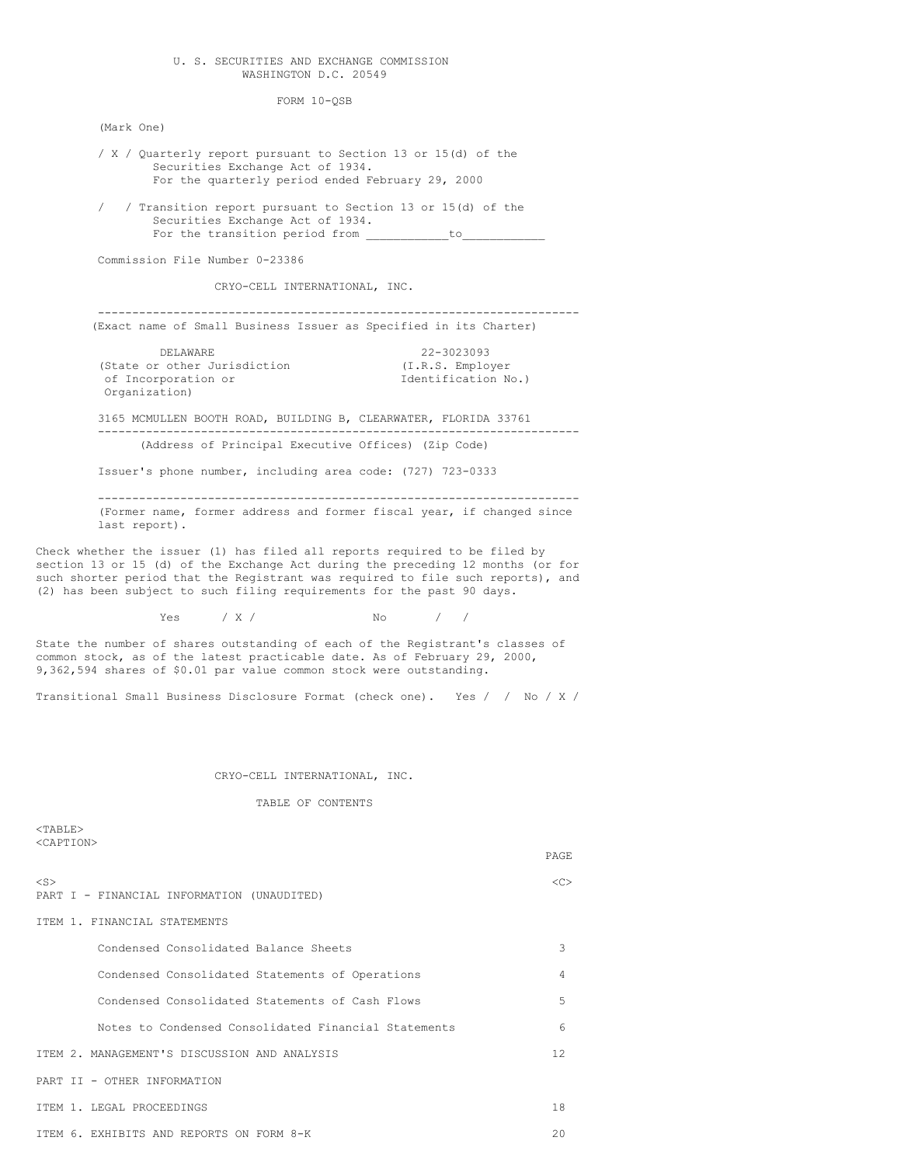# U. S. SECURITIES AND EXCHANGE COMMISSION WASHINGTON D.C. 20549

FORM 10-QSB

(Mark One)

- / X / Quarterly report pursuant to Section 13 or 15(d) of the Securities Exchange Act of 1934. For the quarterly period ended February 29, 2000
- / / Transition report pursuant to Section 13 or 15(d) of the Securities Exchange Act of 1934. For the transition period from \_\_\_\_\_\_\_\_\_\_\_\_to\_\_\_\_\_\_\_\_\_\_\_\_

Commission File Number 0-23386

CRYO-CELL INTERNATIONAL, INC.

---------------------------------------------------------------------- (Exact name of Small Business Issuer as Specified in its Charter)

DELAWARE 22-3023093<br>
r other Jurisdiction (I.R.S. Employer (State or other Jurisdiction of Incorporation or  $I$ dentification No.) Organization)

3165 MCMULLEN BOOTH ROAD, BUILDING B, CLEARWATER, FLORIDA 33761 ---------------------------------------------------------------------- (Address of Principal Executive Offices) (Zip Code)

Issuer's phone number, including area code: (727) 723-0333

---------------------------------------------------------------------- (Former name, former address and former fiscal year, if changed since last report).

Check whether the issuer (1) has filed all reports required to be filed by section 13 or 15 (d) of the Exchange Act during the preceding 12 months (or for such shorter period that the Registrant was required to file such reports), and (2) has been subject to such filing requirements for the past 90 days.

Yes / X / No

State the number of shares outstanding of each of the Registrant's classes of common stock, as of the latest practicable date. As of February 29, 2000, 9,362,594 shares of \$0.01 par value common stock were outstanding.

Transitional Small Business Disclosure Format (check one). Yes / / No / X /

# CRYO-CELL INTERNATIONAL, INC.

TABLE OF CONTENTS

 $<$ TABLE> <CAPTION>

|                                                         | PAGE          |
|---------------------------------------------------------|---------------|
| $<$ S $>$<br>PART I - FINANCIAL INFORMATION (UNAUDITED) | < <sub></sub> |
| ITEM 1. FINANCIAL STATEMENTS                            |               |
| Condensed Consolidated Balance Sheets                   | 3             |
| Condensed Consolidated Statements of Operations         | 4             |
| Condensed Consolidated Statements of Cash Flows         | 5             |
| Notes to Condensed Consolidated Financial Statements    | 6             |
| ITEM 2. MANAGEMENT'S DISCUSSION AND ANALYSIS            | 12.           |
| PART II - OTHER INFORMATION                             |               |
| TTEM 1. LEGAL PROCEEDINGS                               | 18            |
| ITEM 6. EXHIBITS AND REPORTS ON FORM 8-K                | 20            |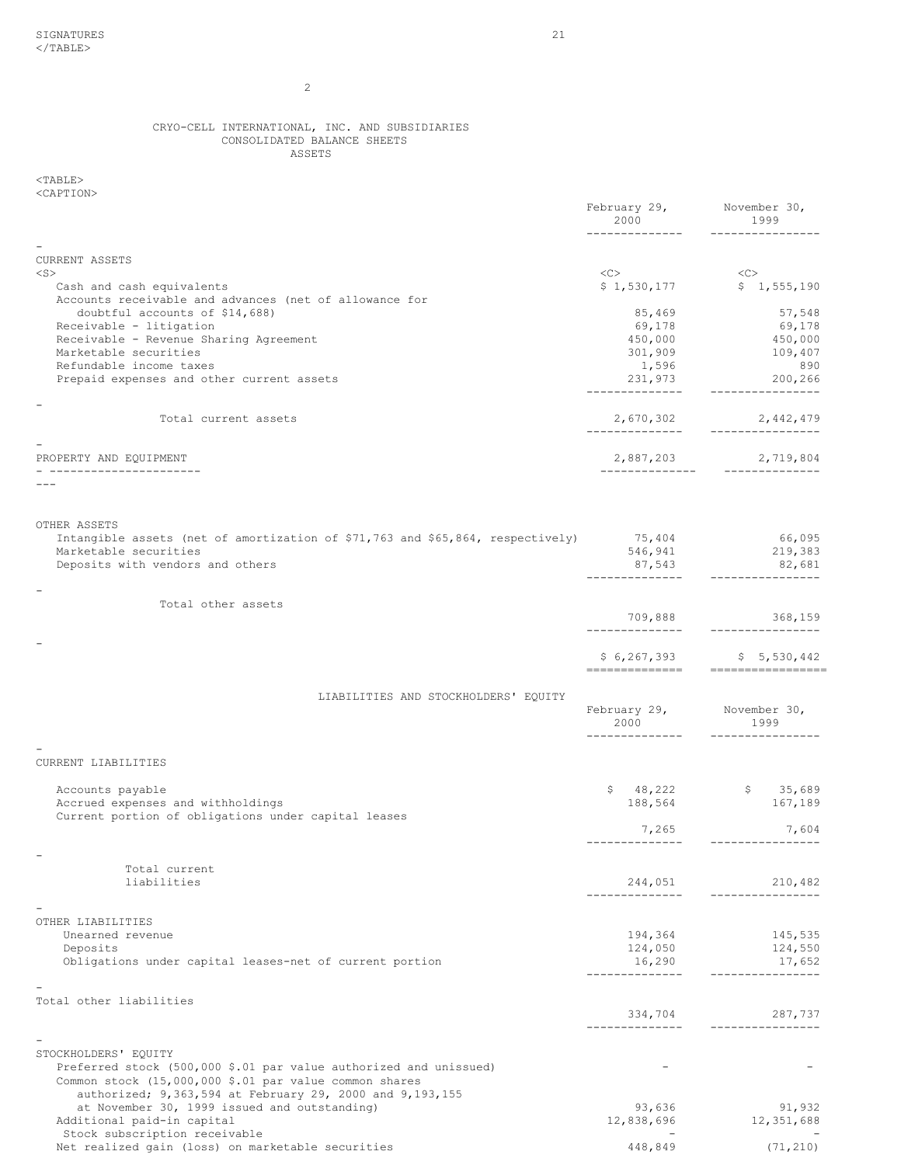2

# CRYO-CELL INTERNATIONAL, INC. AND SUBSIDIARIES CONSOLIDATED BALANCE SHEETS ASSETS

 $<$ TABLE $>$ <CAPTION>

| NUME LIUNZ                                                                                                                  | February 29, November 30,<br>2000<br>-------------- | 1999<br>----------------     |
|-----------------------------------------------------------------------------------------------------------------------------|-----------------------------------------------------|------------------------------|
|                                                                                                                             |                                                     |                              |
| <b>CURRENT ASSETS</b><br>$<$ S $>$                                                                                          | $\langle C \rangle$                                 | $<<$ C $>$                   |
| Cash and cash equivalents<br>Accounts receivable and advances (net of allowance for                                         |                                                     | \$1,530,177 \$1,555,190      |
| doubtful accounts of \$14,688)                                                                                              | 85,469                                              | 57,548                       |
| Receivable - litigation<br>Receivable - Revenue Sharing Agreement                                                           | 69,178<br>450,000                                   | 69,178<br>450,000            |
| Marketable securities                                                                                                       | 301,909                                             | 109,407                      |
| Refundable income taxes                                                                                                     | 1,596                                               | 890                          |
| Prepaid expenses and other current assets                                                                                   | 231,973<br>______________                           | 200,266<br>----------------  |
| Total current assets                                                                                                        | 2,670,302                                           | 2,442,479                    |
|                                                                                                                             | ______________                                      | ----------------             |
| PROPERTY AND EQUIPMENT<br>-------------------                                                                               | 2,887,203<br>_______________                        | 2,719,804<br>______________  |
|                                                                                                                             |                                                     |                              |
|                                                                                                                             |                                                     |                              |
| OTHER ASSETS<br>Intangible assets (net of amortization of \$71,763 and \$65,864, respectively)                              | 75,404                                              | 66,095                       |
| Marketable securities<br>Deposits with vendors and others                                                                   | 546,941<br>87,543                                   | 219,383<br>82,681            |
|                                                                                                                             |                                                     | ----------------             |
| Total other assets                                                                                                          |                                                     |                              |
|                                                                                                                             | 709,888<br>______________                           | 368, 159<br>---------------- |
|                                                                                                                             |                                                     | $$6,267,393$ $$5,530,442$    |
|                                                                                                                             | --------------                                      | -----------------            |
| LIABILITIES AND STOCKHOLDERS' EQUITY                                                                                        |                                                     |                              |
|                                                                                                                             | February 29, November 30,<br>2000                   | 1999                         |
|                                                                                                                             | --------------                                      | ----------------             |
| CURRENT LIABILITIES                                                                                                         |                                                     |                              |
| Accounts payable                                                                                                            |                                                     | $$ 48,222$ $$ 35,689$        |
| Accrued expenses and withholdings                                                                                           | 188,564                                             | 167,189                      |
| Current portion of obligations under capital leases                                                                         | 7,265                                               | 7,604                        |
|                                                                                                                             |                                                     | _________________            |
| Total current                                                                                                               |                                                     |                              |
| liabilities                                                                                                                 | 244,051                                             | 210,482<br>-----------       |
|                                                                                                                             |                                                     |                              |
| OTHER LIABILITIES                                                                                                           |                                                     |                              |
| Unearned revenue<br>Deposits                                                                                                | 194,364<br>124,050                                  | 145,535<br>124,550           |
| Obligations under capital leases-net of current portion                                                                     | 16,290                                              | 17,652                       |
|                                                                                                                             | -------------                                       | ----------------             |
| Total other liabilities                                                                                                     |                                                     |                              |
|                                                                                                                             | 334,704                                             | 287,737<br>_____________     |
|                                                                                                                             |                                                     |                              |
| STOCKHOLDERS' EQUITY                                                                                                        |                                                     |                              |
| Preferred stock (500,000 \$.01 par value authorized and unissued)<br>Common stock (15,000,000 \$.01 par value common shares |                                                     |                              |
| authorized; 9,363,594 at February 29, 2000 and 9,193,155                                                                    |                                                     |                              |
| at November 30, 1999 issued and outstanding)                                                                                | 93,636                                              | 91,932                       |
| Additional paid-in capital<br>Stock subscription receivable                                                                 | 12,838,696                                          | 12,351,688                   |
| Net realized gain (loss) on marketable securities                                                                           | 448,849                                             | (71, 210)                    |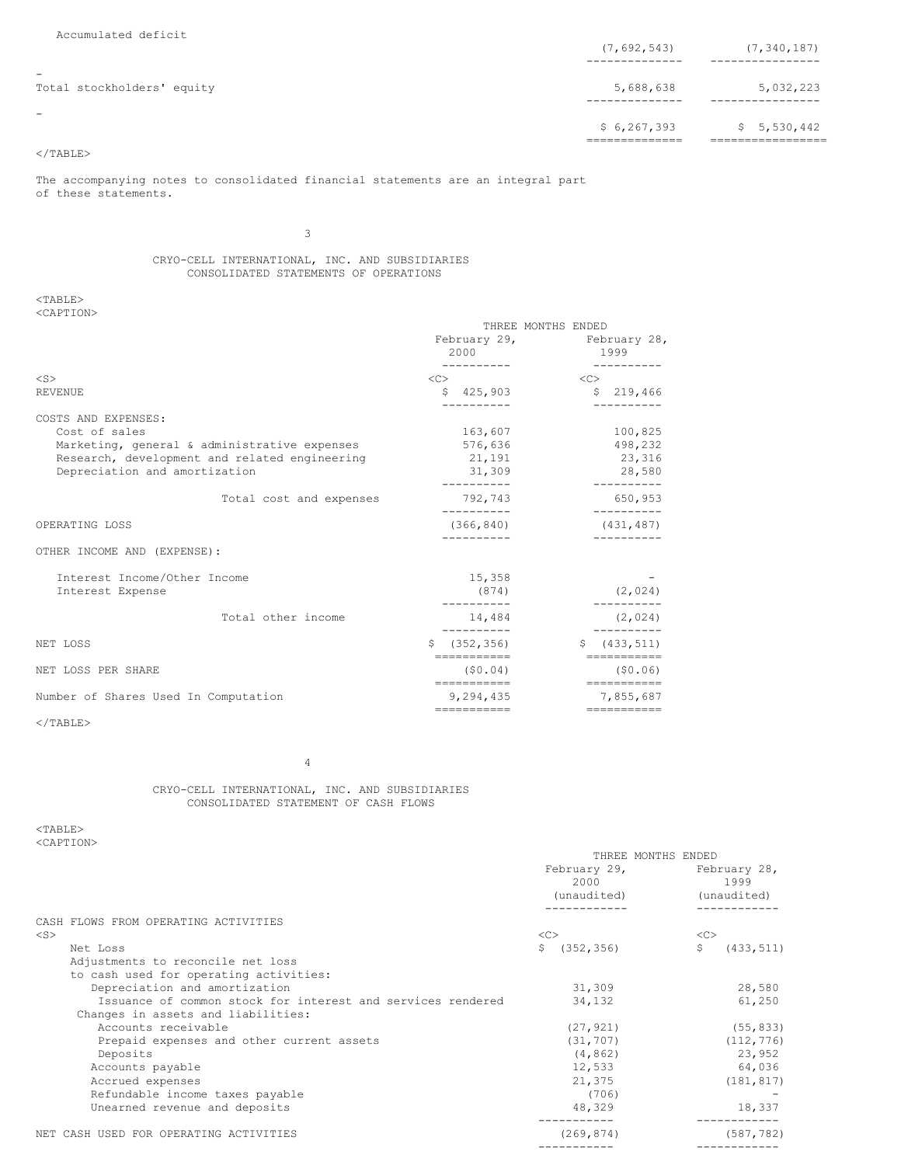| Accumulated deficit                                    | (7, 692, 543) | (7, 340, 187) |
|--------------------------------------------------------|---------------|---------------|
| $\overline{\phantom{a}}$<br>Total stockholders' equity | 5,688,638     | 5,032,223     |
| $\overline{\phantom{a}}$                               | \$6, 267, 393 | \$5,530,442   |

# $\rm <$  /TABLE>

The accompanying notes to consolidated financial statements are an integral part of these statements.

3

# CRYO-CELL INTERNATIONAL, INC. AND SUBSIDIARIES CONSOLIDATED STATEMENTS OF OPERATIONS

<TABLE> <CAPTION>

|                                                  | THREE MONTHS ENDED        |                                   |  |
|--------------------------------------------------|---------------------------|-----------------------------------|--|
|                                                  | 2000                      | February 29, February 28,<br>1999 |  |
| $<$ S $>$                                        | < <sub></sub>             | < <sub></sub>                     |  |
| REVENUE                                          | \$425,903                 | \$219,466                         |  |
| COSTS AND EXPENSES:                              |                           |                                   |  |
| Cost of sales                                    | 163,607                   | 100,825                           |  |
| Marketing, general & administrative expenses     | 576,636                   | 498,232                           |  |
| Research, development and related engineering    | 21,191                    | 23,316                            |  |
| Depreciation and amortization                    | 31,309                    | 28,580                            |  |
| Total cost and expenses                          | ----------<br>792,743     | ----------<br>650,953             |  |
| OPERATING LOSS                                   | ----------<br>(366, 840)  | ----------<br>(431, 487)          |  |
| OTHER INCOME AND (EXPENSE):                      |                           |                                   |  |
| Interest Income/Other Income<br>Interest Expense | 15,358<br>(874)           | (2, 024)                          |  |
| Total other income                               | ----------<br>14,484      | (2, 024)                          |  |
| NET LOSS                                         | (352, 356)<br>Ŝ           | $\mathsf{S}$<br>(433, 511)        |  |
| NET LOSS PER SHARE                               | ------------<br>(50.04)   | ===========<br>(50.06)            |  |
| Number of Shares Used In Computation             | ============<br>9,294,435 | ===========<br>7,855,687          |  |
|                                                  | ===========               | ===========                       |  |

 $<$ /TABLE>

4

CRYO-CELL INTERNATIONAL, INC. AND SUBSIDIARIES CONSOLIDATED STATEMENT OF CASH FLOWS

<TABLE> <CAPTION>

|           |                                                             | THREE MONTHS ENDED<br>February 29,<br>2000<br>(unaudited) |            | February 28,<br>1999<br>(unaudited) |            |  |
|-----------|-------------------------------------------------------------|-----------------------------------------------------------|------------|-------------------------------------|------------|--|
|           | CASH FLOWS FROM OPERATING ACTIVITIES                        |                                                           |            |                                     |            |  |
| $<$ S $>$ |                                                             | <<                                                        |            | <<                                  |            |  |
| Net Loss  |                                                             | Ŝ.                                                        | (352, 356) | \$                                  | (433, 511) |  |
|           | Adjustments to reconcile net loss                           |                                                           |            |                                     |            |  |
|           | to cash used for operating activities:                      |                                                           |            |                                     |            |  |
|           | Depreciation and amortization                               |                                                           | 31,309     |                                     | 28,580     |  |
|           | Issuance of common stock for interest and services rendered |                                                           | 34,132     |                                     | 61,250     |  |
|           | Changes in assets and liabilities:                          |                                                           |            |                                     |            |  |
|           | Accounts receivable                                         |                                                           | (27, 921)  |                                     | (55, 833)  |  |
|           | Prepaid expenses and other current assets                   |                                                           | (31, 707)  |                                     | (112, 776) |  |
|           | Deposits                                                    |                                                           | (4, 862)   |                                     | 23,952     |  |
|           | Accounts payable                                            |                                                           | 12,533     |                                     | 64,036     |  |
|           | Accrued expenses                                            |                                                           | 21,375     |                                     | (181, 817) |  |
|           | Refundable income taxes payable                             |                                                           | (706)      |                                     |            |  |
|           | Unearned revenue and deposits                               |                                                           | 48,329     |                                     | 18,337     |  |
|           | NET CASH USED FOR OPERATING ACTIVITIES                      |                                                           | (269, 874) |                                     | (587, 782) |  |
|           |                                                             |                                                           |            |                                     |            |  |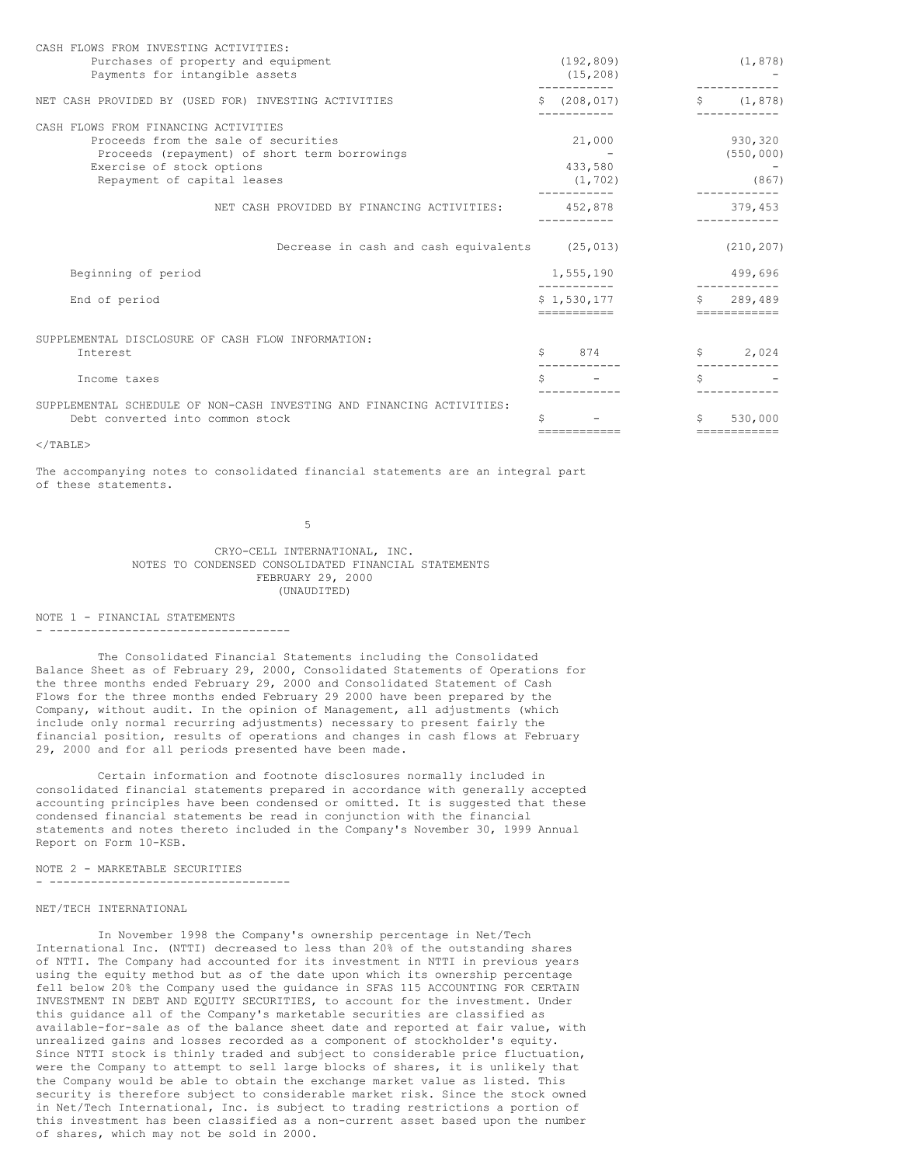| CASH FLOWS FROM INVESTING ACTIVITIES:                                 |    |               |              |                         |
|-----------------------------------------------------------------------|----|---------------|--------------|-------------------------|
| Purchases of property and equipment                                   |    | (192, 809)    |              | (1, 878)                |
| Payments for intangible assets                                        |    | (15, 208)     |              |                         |
| NET CASH PROVIDED BY (USED FOR) INVESTING ACTIVITIES                  |    | \$ (208, 017) |              | \$ (1, 878)             |
| CASH FLOWS FROM FINANCING ACTIVITIES                                  |    |               |              |                         |
| Proceeds from the sale of securities                                  |    | 21,000        |              | 930,320                 |
| Proceeds (repayment) of short term borrowings                         |    |               |              | (550, 000)              |
| Exercise of stock options                                             |    | 433,580       |              |                         |
| Repayment of capital leases                                           |    | (1, 702)      |              | (867)                   |
| NET CASH PROVIDED BY FINANCING ACTIVITIES:                            |    | 452,878       |              | 379,453                 |
| Decrease in cash and cash equivalents (25,013)                        |    |               |              | (210, 207)              |
| Beginning of period                                                   |    | 1,555,190     |              | 499,696                 |
| End of period                                                         |    | \$1.530.177   |              | \$289.489               |
|                                                                       |    | -----------   |              | ============            |
| SUPPLEMENTAL DISCLOSURE OF CASH FLOW INFORMATION:                     |    |               |              |                         |
| Interest                                                              | \$ | 874           |              | \$ 2,024                |
| Income taxes                                                          | Ŝ. |               | Š.           |                         |
| SUPPLEMENTAL SCHEDULE OF NON-CASH INVESTING AND FINANCING ACTIVITIES: |    |               |              |                         |
| Debt converted into common stock                                      | \$ | ============  | $\mathsf{S}$ | 530,000<br>============ |

#### $<$ /TABLE>

The accompanying notes to consolidated financial statements are an integral part of these statements.

5

# CRYO-CELL INTERNATIONAL, INC. NOTES TO CONDENSED CONSOLIDATED FINANCIAL STATEMENTS FEBRUARY 29, 2000 (UNAUDITED)

NOTE 1 - FINANCIAL STATEMENTS - -----------------------------------

The Consolidated Financial Statements including the Consolidated Balance Sheet as of February 29, 2000, Consolidated Statements of Operations for the three months ended February 29, 2000 and Consolidated Statement of Cash Flows for the three months ended February 29 2000 have been prepared by the Company, without audit. In the opinion of Management, all adjustments (which include only normal recurring adjustments) necessary to present fairly the financial position, results of operations and changes in cash flows at February 29, 2000 and for all periods presented have been made.

Certain information and footnote disclosures normally included in consolidated financial statements prepared in accordance with generally accepted accounting principles have been condensed or omitted. It is suggested that these condensed financial statements be read in conjunction with the financial statements and notes thereto included in the Company's November 30, 1999 Annual Report on Form 10-KSB.

NOTE 2 - MARKETABLE SECURITIES

- -----------------------------------

## NET/TECH INTERNATIONAL

In November 1998 the Company's ownership percentage in Net/Tech International Inc. (NTTI) decreased to less than 20% of the outstanding shares of NTTI. The Company had accounted for its investment in NTTI in previous years using the equity method but as of the date upon which its ownership percentage fell below 20% the Company used the guidance in SFAS 115 ACCOUNTING FOR CERTAIN INVESTMENT IN DEBT AND EQUITY SECURITIES, to account for the investment. Under this guidance all of the Company's marketable securities are classified as available-for-sale as of the balance sheet date and reported at fair value, with unrealized gains and losses recorded as a component of stockholder's equity. Since NTTI stock is thinly traded and subject to considerable price fluctuation, were the Company to attempt to sell large blocks of shares, it is unlikely that the Company would be able to obtain the exchange market value as listed. This security is therefore subject to considerable market risk. Since the stock owned in Net/Tech International, Inc. is subject to trading restrictions a portion of this investment has been classified as a non-current asset based upon the number of shares, which may not be sold in 2000.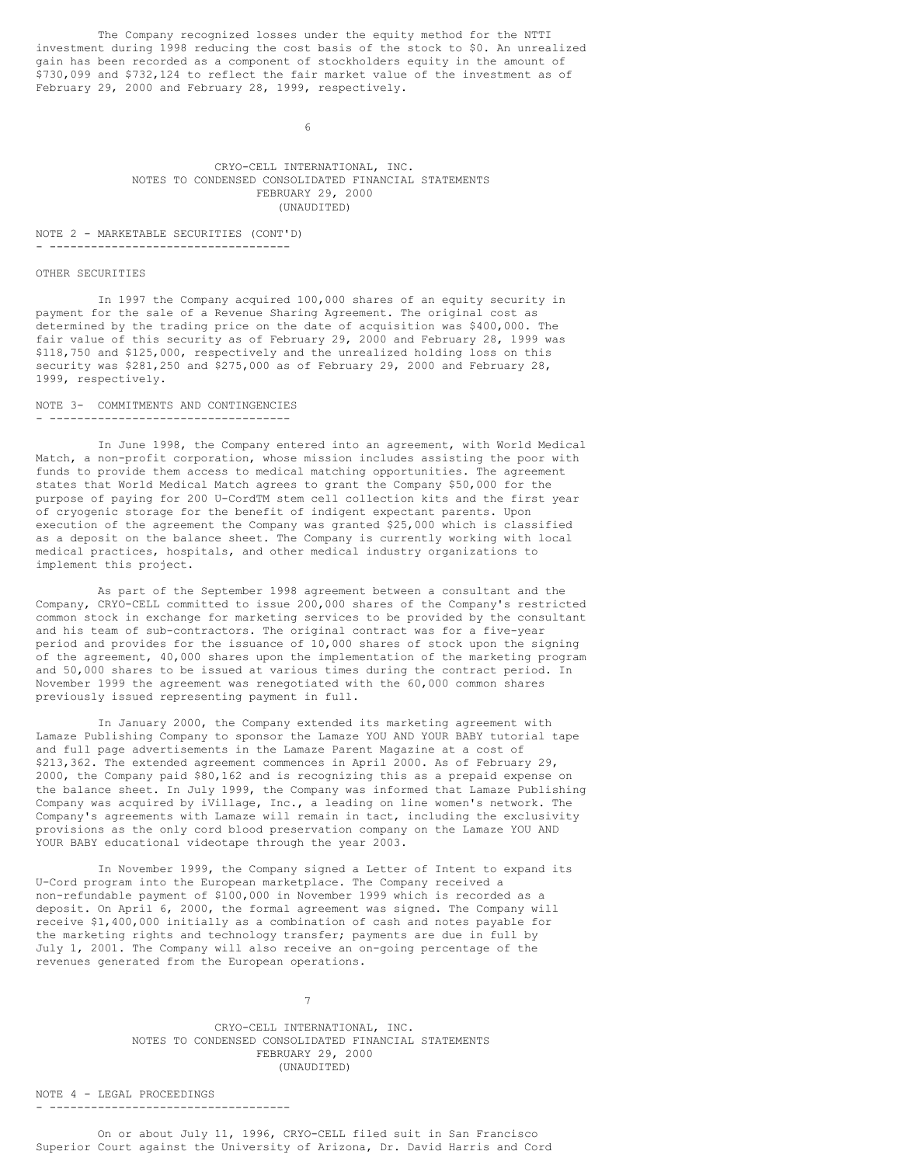The Company recognized losses under the equity method for the NTTI investment during 1998 reducing the cost basis of the stock to \$0. An unrealized gain has been recorded as a component of stockholders equity in the amount of \$730,099 and \$732,124 to reflect the fair market value of the investment as of February 29, 2000 and February 28, 1999, respectively.

6

# CRYO-CELL INTERNATIONAL, INC. NOTES TO CONDENSED CONSOLIDATED FINANCIAL STATEMENTS FEBRUARY 29, 2000 (UNAUDITED)

#### NOTE 2 - MARKETABLE SECURITIES (CONT'D) - -----------------------------------

# OTHER SECURITIES

In 1997 the Company acquired 100,000 shares of an equity security in payment for the sale of a Revenue Sharing Agreement. The original cost as determined by the trading price on the date of acquisition was \$400,000. The fair value of this security as of February 29, 2000 and February 28, 1999 was \$118,750 and \$125,000, respectively and the unrealized holding loss on this security was \$281,250 and \$275,000 as of February 29, 2000 and February 28, 1999, respectively.

#### NOTE 3- COMMITMENTS AND CONTINGENCIES - -----------------------------------

In June 1998, the Company entered into an agreement, with World Medical Match, a non-profit corporation, whose mission includes assisting the poor with funds to provide them access to medical matching opportunities. The agreement states that World Medical Match agrees to grant the Company \$50,000 for the purpose of paying for 200 U-CordTM stem cell collection kits and the first year of cryogenic storage for the benefit of indigent expectant parents. Upon execution of the agreement the Company was granted \$25,000 which is classified as a deposit on the balance sheet. The Company is currently working with local medical practices, hospitals, and other medical industry organizations to implement this project.

As part of the September 1998 agreement between a consultant and the Company, CRYO-CELL committed to issue 200,000 shares of the Company's restricted common stock in exchange for marketing services to be provided by the consultant and his team of sub-contractors. The original contract was for a five-year period and provides for the issuance of 10,000 shares of stock upon the signing of the agreement, 40,000 shares upon the implementation of the marketing program and 50,000 shares to be issued at various times during the contract period. In November 1999 the agreement was renegotiated with the 60,000 common shares previously issued representing payment in full.

In January 2000, the Company extended its marketing agreement with Lamaze Publishing Company to sponsor the Lamaze YOU AND YOUR BABY tutorial tape and full page advertisements in the Lamaze Parent Magazine at a cost of \$213,362. The extended agreement commences in April 2000. As of February 29, 2000, the Company paid \$80,162 and is recognizing this as a prepaid expense on the balance sheet. In July 1999, the Company was informed that Lamaze Publishing Company was acquired by iVillage, Inc., a leading on line women's network. The Company's agreements with Lamaze will remain in tact, including the exclusivity provisions as the only cord blood preservation company on the Lamaze YOU AND YOUR BABY educational videotape through the year 2003.

In November 1999, the Company signed a Letter of Intent to expand its U-Cord program into the European marketplace. The Company received a non-refundable payment of \$100,000 in November 1999 which is recorded as a deposit. On April 6, 2000, the formal agreement was signed. The Company will receive \$1,400,000 initially as a combination of cash and notes payable for the marketing rights and technology transfer; payments are due in full by July 1, 2001. The Company will also receive an on-going percentage of the revenues generated from the European operations.

# 7

CRYO-CELL INTERNATIONAL, INC. NOTES TO CONDENSED CONSOLIDATED FINANCIAL STATEMENTS FEBRUARY 29, 2000 (UNAUDITED)

NOTE 4 - LEGAL PROCEEDINGS - -----------------------------------

On or about July 11, 1996, CRYO-CELL filed suit in San Francisco Superior Court against the University of Arizona, Dr. David Harris and Cord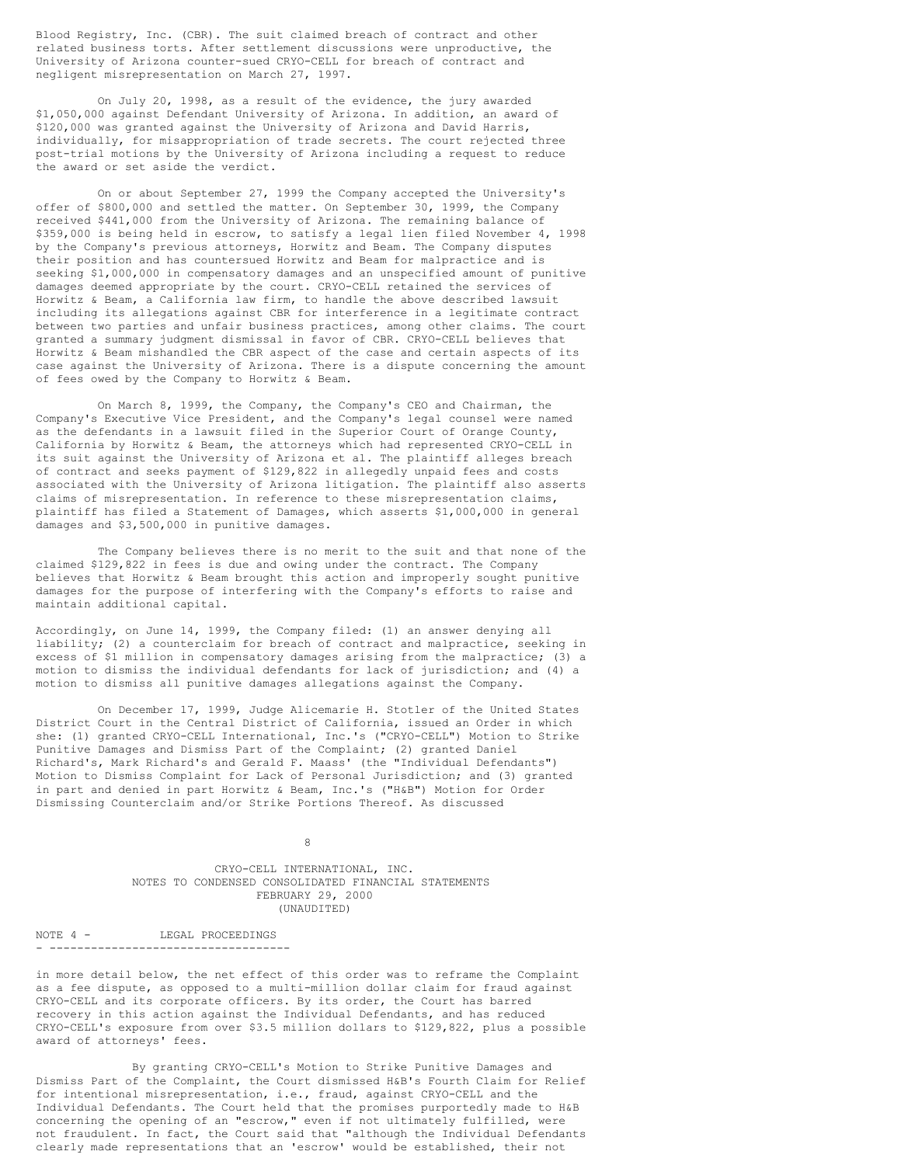Blood Registry, Inc. (CBR). The suit claimed breach of contract and other related business torts. After settlement discussions were unproductive, the University of Arizona counter-sued CRYO-CELL for breach of contract and negligent misrepresentation on March 27, 1997.

On July 20, 1998, as a result of the evidence, the jury awarded \$1,050,000 against Defendant University of Arizona. In addition, an award of \$120,000 was granted against the University of Arizona and David Harris, individually, for misappropriation of trade secrets. The court rejected three post-trial motions by the University of Arizona including a request to reduce the award or set aside the verdict.

On or about September 27, 1999 the Company accepted the University's offer of \$800,000 and settled the matter. On September 30, 1999, the Company received \$441,000 from the University of Arizona. The remaining balance of \$359,000 is being held in escrow, to satisfy a legal lien filed November 4, 1998 by the Company's previous attorneys, Horwitz and Beam. The Company disputes their position and has countersued Horwitz and Beam for malpractice and is seeking \$1,000,000 in compensatory damages and an unspecified amount of punitive damages deemed appropriate by the court. CRYO-CELL retained the services of Horwitz & Beam, a California law firm, to handle the above described lawsuit including its allegations against CBR for interference in a legitimate contract between two parties and unfair business practices, among other claims. The court granted a summary judgment dismissal in favor of CBR. CRYO-CELL believes that Horwitz & Beam mishandled the CBR aspect of the case and certain aspects of its case against the University of Arizona. There is a dispute concerning the amount of fees owed by the Company to Horwitz & Beam.

On March 8, 1999, the Company, the Company's CEO and Chairman, the Company's Executive Vice President, and the Company's legal counsel were named as the defendants in a lawsuit filed in the Superior Court of Orange County, California by Horwitz & Beam, the attorneys which had represented CRYO-CELL in its suit against the University of Arizona et al. The plaintiff alleges breach of contract and seeks payment of \$129,822 in allegedly unpaid fees and costs associated with the University of Arizona litigation. The plaintiff also asserts claims of misrepresentation. In reference to these misrepresentation claims, plaintiff has filed a Statement of Damages, which asserts \$1,000,000 in general damages and \$3,500,000 in punitive damages.

The Company believes there is no merit to the suit and that none of the claimed \$129,822 in fees is due and owing under the contract. The Company believes that Horwitz & Beam brought this action and improperly sought punitive damages for the purpose of interfering with the Company's efforts to raise and maintain additional capital.

Accordingly, on June 14, 1999, the Company filed: (1) an answer denying all liability; (2) a counterclaim for breach of contract and malpractice, seeking in excess of \$1 million in compensatory damages arising from the malpractice; (3) a motion to dismiss the individual defendants for lack of jurisdiction; and (4) a motion to dismiss all punitive damages allegations against the Company.

On December 17, 1999, Judge Alicemarie H. Stotler of the United States District Court in the Central District of California, issued an Order in which she: (1) granted CRYO-CELL International, Inc.'s ("CRYO-CELL") Motion to Strike Punitive Damages and Dismiss Part of the Complaint; (2) granted Daniel Richard's, Mark Richard's and Gerald F. Maass' (the "Individual Defendants") Motion to Dismiss Complaint for Lack of Personal Jurisdiction; and (3) granted in part and denied in part Horwitz & Beam, Inc.'s ("H&B") Motion for Order Dismissing Counterclaim and/or Strike Portions Thereof. As discussed

8

CRYO-CELL INTERNATIONAL, INC. NOTES TO CONDENSED CONSOLIDATED FINANCIAL STATEMENTS FEBRUARY 29, 2000 (UNAUDITED)

NOTE 4 - LEGAL PROCEEDINGS - -----------------------------------

in more detail below, the net effect of this order was to reframe the Complaint as a fee dispute, as opposed to a multi-million dollar claim for fraud against CRYO-CELL and its corporate officers. By its order, the Court has barred recovery in this action against the Individual Defendants, and has reduced CRYO-CELL's exposure from over \$3.5 million dollars to \$129,822, plus a possible award of attorneys' fees.

By granting CRYO-CELL's Motion to Strike Punitive Damages and Dismiss Part of the Complaint, the Court dismissed H&B's Fourth Claim for Relief for intentional misrepresentation, i.e., fraud, against CRYO-CELL and the Individual Defendants. The Court held that the promises purportedly made to H&B concerning the opening of an "escrow," even if not ultimately fulfilled, were not fraudulent. In fact, the Court said that "although the Individual Defendants clearly made representations that an 'escrow' would be established, their not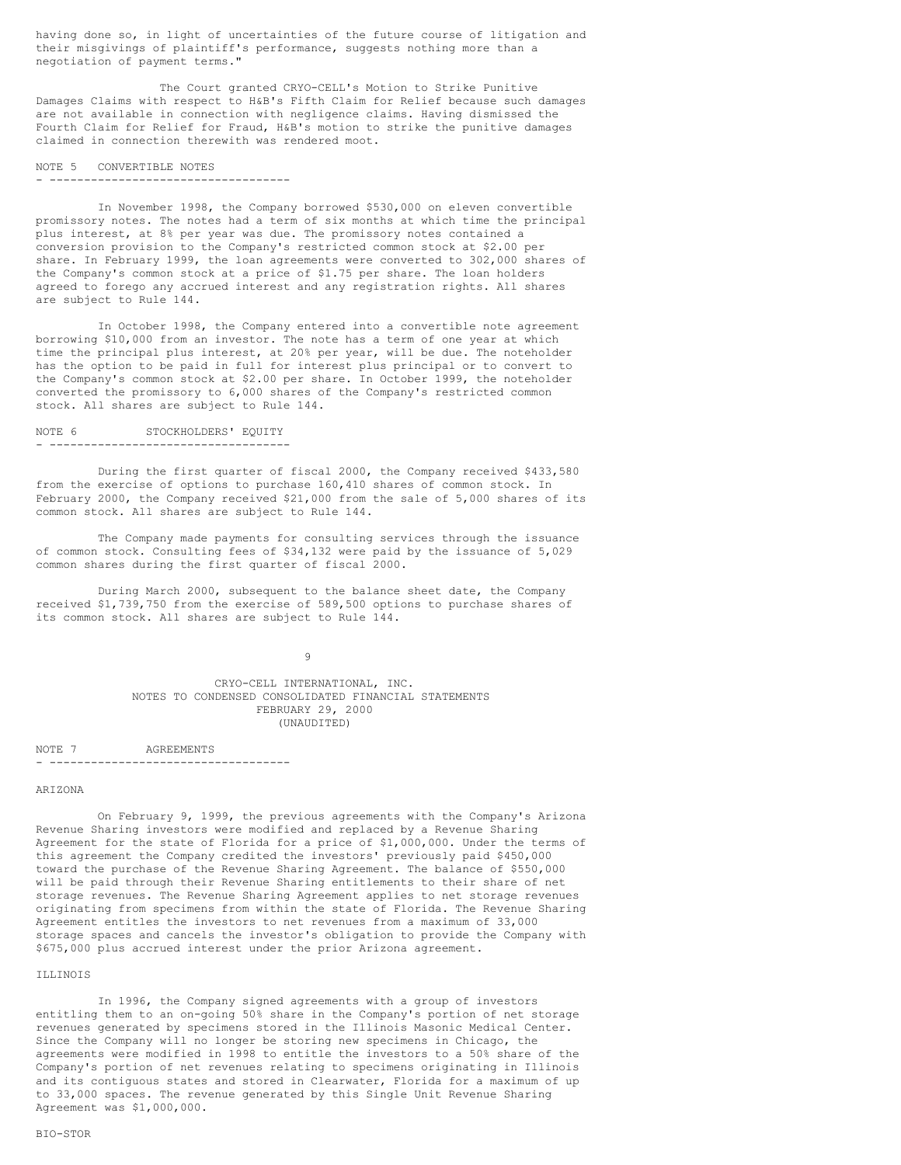having done so, in light of uncertainties of the future course of litigation and their misgivings of plaintiff's performance, suggests nothing more than a negotiation of payment terms."

The Court granted CRYO-CELL's Motion to Strike Punitive Damages Claims with respect to H&B's Fifth Claim for Relief because such damages are not available in connection with negligence claims. Having dismissed the Fourth Claim for Relief for Fraud, H&B's motion to strike the punitive damages claimed in connection therewith was rendered moot.

#### NOTE 5 CONVERTIBLE NOTES - -----------------------------------

In November 1998, the Company borrowed \$530,000 on eleven convertible promissory notes. The notes had a term of six months at which time the principal plus interest, at 8% per year was due. The promissory notes contained a conversion provision to the Company's restricted common stock at \$2.00 per share. In February 1999, the loan agreements were converted to 302,000 shares of the Company's common stock at a price of \$1.75 per share. The loan holders agreed to forego any accrued interest and any registration rights. All shares are subject to Rule 144.

In October 1998, the Company entered into a convertible note agreement borrowing \$10,000 from an investor. The note has a term of one year at which time the principal plus interest, at 20% per year, will be due. The noteholder has the option to be paid in full for interest plus principal or to convert to the Company's common stock at \$2.00 per share. In October 1999, the noteholder converted the promissory to 6,000 shares of the Company's restricted common stock. All shares are subject to Rule 144.

| NOTE 6 |  |  |  |  | STOCKHOLDERS' EOUITY |  |  |  |  |  |
|--------|--|--|--|--|----------------------|--|--|--|--|--|
|        |  |  |  |  |                      |  |  |  |  |  |

During the first quarter of fiscal 2000, the Company received \$433,580 from the exercise of options to purchase 160,410 shares of common stock. In February 2000, the Company received \$21,000 from the sale of 5,000 shares of its common stock. All shares are subject to Rule 144.

The Company made payments for consulting services through the issuance of common stock. Consulting fees of \$34,132 were paid by the issuance of 5,029 common shares during the first quarter of fiscal 2000.

During March 2000, subsequent to the balance sheet date, the Company received \$1,739,750 from the exercise of 589,500 options to purchase shares of its common stock. All shares are subject to Rule 144.

9

CRYO-CELL INTERNATIONAL, INC. NOTES TO CONDENSED CONSOLIDATED FINANCIAL STATEMENTS FEBRUARY 29, 2000 (UNAUDITED)

NOTE 7 AGREEMENTS - -----------------------------------

# ARIZONA

On February 9, 1999, the previous agreements with the Company's Arizona Revenue Sharing investors were modified and replaced by a Revenue Sharing Agreement for the state of Florida for a price of \$1,000,000. Under the terms of this agreement the Company credited the investors' previously paid \$450,000 toward the purchase of the Revenue Sharing Agreement. The balance of \$550,000 will be paid through their Revenue Sharing entitlements to their share of net storage revenues. The Revenue Sharing Agreement applies to net storage revenues originating from specimens from within the state of Florida. The Revenue Sharing Agreement entitles the investors to net revenues from a maximum of 33,000 storage spaces and cancels the investor's obligation to provide the Company with \$675,000 plus accrued interest under the prior Arizona agreement.

# ILLINOIS

In 1996, the Company signed agreements with a group of investors entitling them to an on-going 50% share in the Company's portion of net storage revenues generated by specimens stored in the Illinois Masonic Medical Center. Since the Company will no longer be storing new specimens in Chicago, the agreements were modified in 1998 to entitle the investors to a 50% share of the Company's portion of net revenues relating to specimens originating in Illinois and its contiguous states and stored in Clearwater, Florida for a maximum of up to 33,000 spaces. The revenue generated by this Single Unit Revenue Sharing Agreement was \$1,000,000.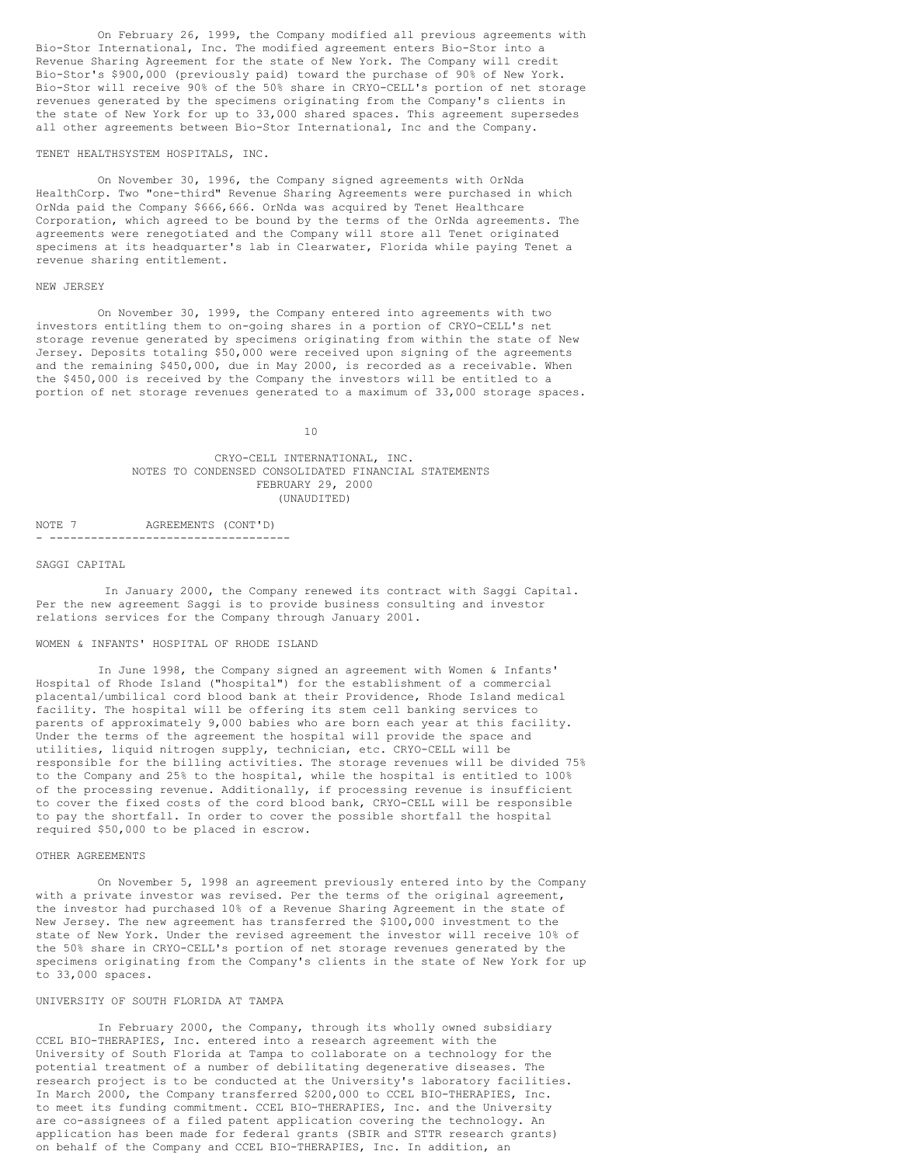On February 26, 1999, the Company modified all previous agreements with Bio-Stor International, Inc. The modified agreement enters Bio-Stor into a Revenue Sharing Agreement for the state of New York. The Company will credit Bio-Stor's \$900,000 (previously paid) toward the purchase of 90% of New York. Bio-Stor will receive 90% of the 50% share in CRYO-CELL's portion of net storage revenues generated by the specimens originating from the Company's clients in the state of New York for up to 33,000 shared spaces. This agreement supersedes all other agreements between Bio-Stor International, Inc and the Company.

#### TENET HEALTHSYSTEM HOSPITALS, INC.

On November 30, 1996, the Company signed agreements with OrNda HealthCorp. Two "one-third" Revenue Sharing Agreements were purchased in which OrNda paid the Company \$666,666. OrNda was acquired by Tenet Healthcare Corporation, which agreed to be bound by the terms of the OrNda agreements. The agreements were renegotiated and the Company will store all Tenet originated specimens at its headquarter's lab in Clearwater, Florida while paying Tenet a revenue sharing entitlement.

#### NEW JERSEY

On November 30, 1999, the Company entered into agreements with two investors entitling them to on-going shares in a portion of CRYO-CELL's net storage revenue generated by specimens originating from within the state of New Jersey. Deposits totaling \$50,000 were received upon signing of the agreements and the remaining \$450,000, due in May 2000, is recorded as a receivable. When the \$450,000 is received by the Company the investors will be entitled to a portion of net storage revenues generated to a maximum of 33,000 storage spaces.

10

# CRYO-CELL INTERNATIONAL, INC. NOTES TO CONDENSED CONSOLIDATED FINANCIAL STATEMENTS FEBRUARY 29, 2000 (UNAUDITED)

NOTE 7 AGREEMENTS (CONT'D) - -----------------------------------

# SAGGI CAPITAL

In January 2000, the Company renewed its contract with Saggi Capital. Per the new agreement Saggi is to provide business consulting and investor relations services for the Company through January 2001.

#### WOMEN & INFANTS' HOSPITAL OF RHODE ISLAND

In June 1998, the Company signed an agreement with Women & Infants' Hospital of Rhode Island ("hospital") for the establishment of a commercial placental/umbilical cord blood bank at their Providence, Rhode Island medical facility. The hospital will be offering its stem cell banking services to parents of approximately 9,000 babies who are born each year at this facility. Under the terms of the agreement the hospital will provide the space and utilities, liquid nitrogen supply, technician, etc. CRYO-CELL will be responsible for the billing activities. The storage revenues will be divided 75% to the Company and 25% to the hospital, while the hospital is entitled to 100% of the processing revenue. Additionally, if processing revenue is insufficient to cover the fixed costs of the cord blood bank, CRYO-CELL will be responsible to pay the shortfall. In order to cover the possible shortfall the hospital required \$50,000 to be placed in escrow.

# OTHER AGREEMENTS

On November 5, 1998 an agreement previously entered into by the Company with a private investor was revised. Per the terms of the original agreement, the investor had purchased 10% of a Revenue Sharing Agreement in the state of New Jersey. The new agreement has transferred the \$100,000 investment to the state of New York. Under the revised agreement the investor will receive 10% of the 50% share in CRYO-CELL's portion of net storage revenues generated by the specimens originating from the Company's clients in the state of New York for up to 33,000 spaces.

# UNIVERSITY OF SOUTH FLORIDA AT TAMPA

In February 2000, the Company, through its wholly owned subsidiary CCEL BIO-THERAPIES, Inc. entered into a research agreement with the University of South Florida at Tampa to collaborate on a technology for the potential treatment of a number of debilitating degenerative diseases. The research project is to be conducted at the University's laboratory facilities. In March 2000, the Company transferred \$200,000 to CCEL BIO-THERAPIES, Inc. to meet its funding commitment. CCEL BIO-THERAPIES, Inc. and the University are co-assignees of a filed patent application covering the technology. An application has been made for federal grants (SBIR and STTR research grants) on behalf of the Company and CCEL BIO-THERAPIES, Inc. In addition, an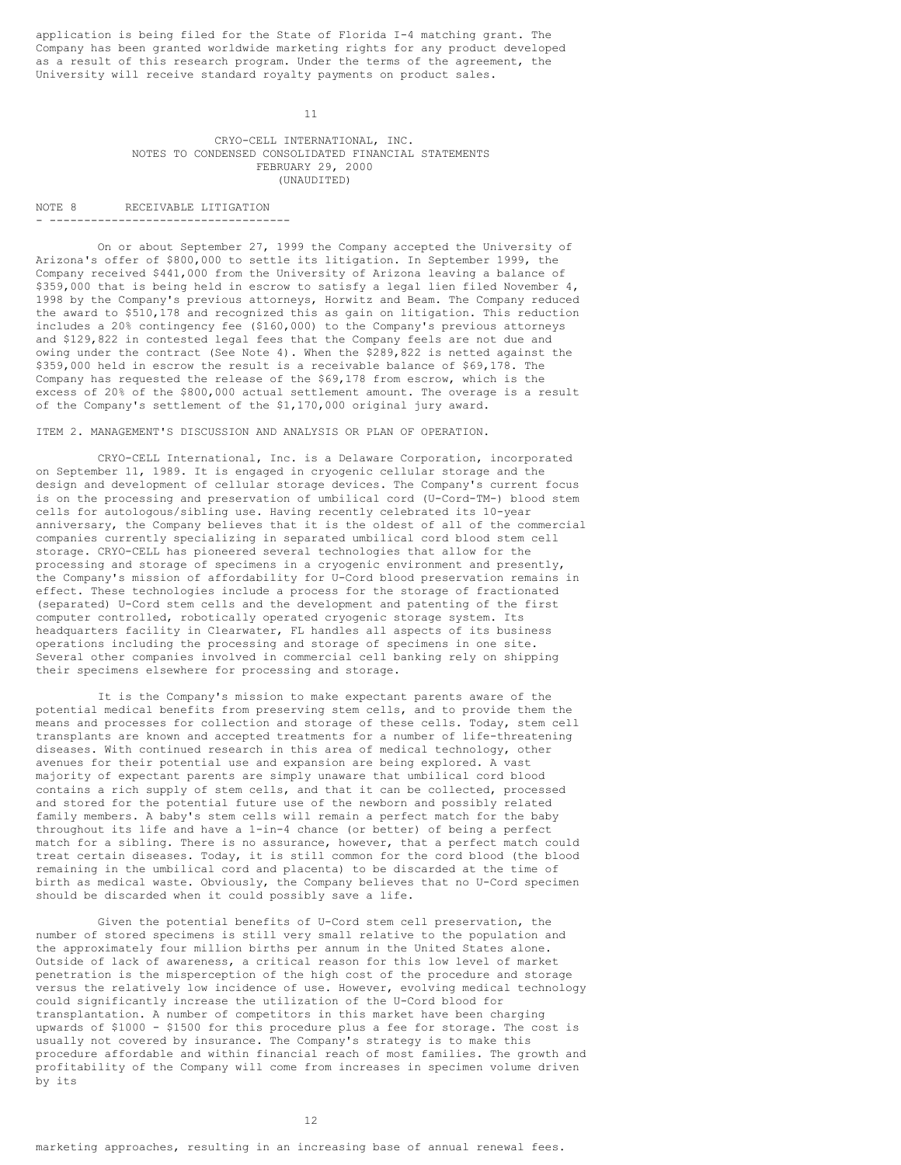application is being filed for the State of Florida I-4 matching grant. The Company has been granted worldwide marketing rights for any product developed as a result of this research program. Under the terms of the agreement, the University will receive standard royalty payments on product sales.

11

# CRYO-CELL INTERNATIONAL, INC. NOTES TO CONDENSED CONSOLIDATED FINANCIAL STATEMENTS FEBRUARY 29, 2000 (UNAUDITED)

NOTE 8 RECEIVABLE LITIGATION - -----------------------------------

On or about September 27, 1999 the Company accepted the University of Arizona's offer of \$800,000 to settle its litigation. In September 1999, the Company received \$441,000 from the University of Arizona leaving a balance of \$359,000 that is being held in escrow to satisfy a legal lien filed November 4, 1998 by the Company's previous attorneys, Horwitz and Beam. The Company reduced the award to \$510,178 and recognized this as gain on litigation. This reduction includes a 20% contingency fee (\$160,000) to the Company's previous attorneys and \$129,822 in contested legal fees that the Company feels are not due and owing under the contract (See Note 4). When the \$289,822 is netted against the \$359,000 held in escrow the result is a receivable balance of \$69,178. The Company has requested the release of the \$69,178 from escrow, which is the excess of 20% of the \$800,000 actual settlement amount. The overage is a result of the Company's settlement of the \$1,170,000 original jury award.

# ITEM 2. MANAGEMENT'S DISCUSSION AND ANALYSIS OR PLAN OF OPERATION.

CRYO-CELL International, Inc. is a Delaware Corporation, incorporated on September 11, 1989. It is engaged in cryogenic cellular storage and the design and development of cellular storage devices. The Company's current focus is on the processing and preservation of umbilical cord (U-Cord-TM-) blood stem cells for autologous/sibling use. Having recently celebrated its 10-year anniversary, the Company believes that it is the oldest of all of the commercial companies currently specializing in separated umbilical cord blood stem cell storage. CRYO-CELL has pioneered several technologies that allow for the processing and storage of specimens in a cryogenic environment and presently, the Company's mission of affordability for U-Cord blood preservation remains in effect. These technologies include a process for the storage of fractionated (separated) U-Cord stem cells and the development and patenting of the first computer controlled, robotically operated cryogenic storage system. Its headquarters facility in Clearwater, FL handles all aspects of its business operations including the processing and storage of specimens in one site. Several other companies involved in commercial cell banking rely on shipping their specimens elsewhere for processing and storage.

It is the Company's mission to make expectant parents aware of the potential medical benefits from preserving stem cells, and to provide them the means and processes for collection and storage of these cells. Today, stem cell transplants are known and accepted treatments for a number of life-threatening diseases. With continued research in this area of medical technology, other avenues for their potential use and expansion are being explored. A vast majority of expectant parents are simply unaware that umbilical cord blood contains a rich supply of stem cells, and that it can be collected, processed and stored for the potential future use of the newborn and possibly related family members. A baby's stem cells will remain a perfect match for the baby throughout its life and have a 1-in-4 chance (or better) of being a perfect match for a sibling. There is no assurance, however, that a perfect match could treat certain diseases. Today, it is still common for the cord blood (the blood remaining in the umbilical cord and placenta) to be discarded at the time of birth as medical waste. Obviously, the Company believes that no U-Cord specimen should be discarded when it could possibly save a life.

Given the potential benefits of U-Cord stem cell preservation, the number of stored specimens is still very small relative to the population and the approximately four million births per annum in the United States alone. Outside of lack of awareness, a critical reason for this low level of market penetration is the misperception of the high cost of the procedure and storage versus the relatively low incidence of use. However, evolving medical technology could significantly increase the utilization of the U-Cord blood for transplantation. A number of competitors in this market have been charging upwards of \$1000 - \$1500 for this procedure plus a fee for storage. The cost is usually not covered by insurance. The Company's strategy is to make this procedure affordable and within financial reach of most families. The growth and profitability of the Company will come from increases in specimen volume driven by its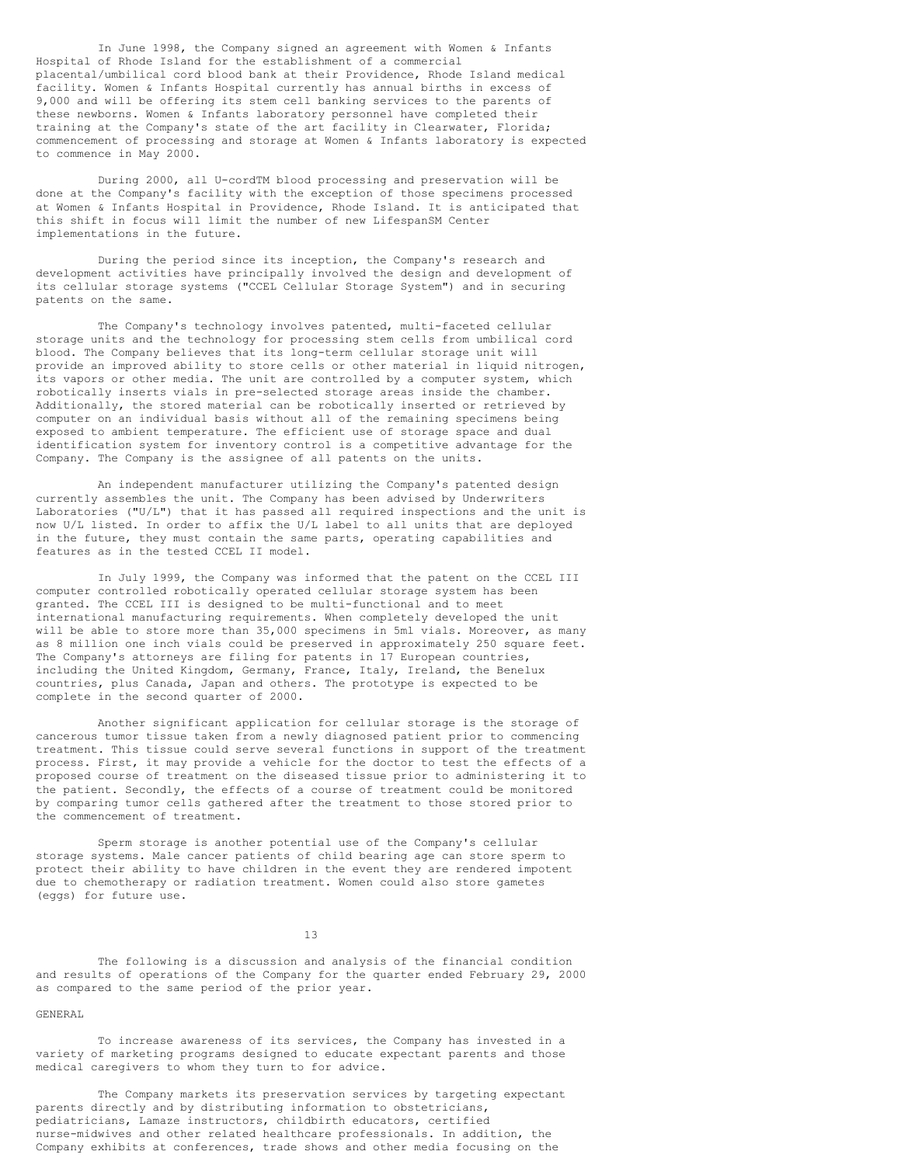In June 1998, the Company signed an agreement with Women & Infants Hospital of Rhode Island for the establishment of a commercial placental/umbilical cord blood bank at their Providence, Rhode Island medical facility. Women & Infants Hospital currently has annual births in excess of 9,000 and will be offering its stem cell banking services to the parents of these newborns. Women & Infants laboratory personnel have completed their training at the Company's state of the art facility in Clearwater, Florida; commencement of processing and storage at Women & Infants laboratory is expected to commence in May 2000.

During 2000, all U-cordTM blood processing and preservation will be done at the Company's facility with the exception of those specimens processed at Women & Infants Hospital in Providence, Rhode Island. It is anticipated that this shift in focus will limit the number of new LifespanSM Center implementations in the future.

During the period since its inception, the Company's research and development activities have principally involved the design and development of its cellular storage systems ("CCEL Cellular Storage System") and in securing patents on the same.

The Company's technology involves patented, multi-faceted cellular storage units and the technology for processing stem cells from umbilical cord blood. The Company believes that its long-term cellular storage unit will provide an improved ability to store cells or other material in liquid nitrogen, its vapors or other media. The unit are controlled by a computer system, which robotically inserts vials in pre-selected storage areas inside the chamber. Additionally, the stored material can be robotically inserted or retrieved by computer on an individual basis without all of the remaining specimens being exposed to ambient temperature. The efficient use of storage space and dual identification system for inventory control is a competitive advantage for the Company. The Company is the assignee of all patents on the units.

An independent manufacturer utilizing the Company's patented design currently assembles the unit. The Company has been advised by Underwriters Laboratories ("U/L") that it has passed all required inspections and the unit is now U/L listed. In order to affix the U/L label to all units that are deployed in the future, they must contain the same parts, operating capabilities and features as in the tested CCEL II model.

In July 1999, the Company was informed that the patent on the CCEL III computer controlled robotically operated cellular storage system has been granted. The CCEL III is designed to be multi-functional and to meet international manufacturing requirements. When completely developed the unit will be able to store more than 35,000 specimens in 5ml vials. Moreover, as many as 8 million one inch vials could be preserved in approximately 250 square feet. The Company's attorneys are filing for patents in 17 European countries, including the United Kingdom, Germany, France, Italy, Ireland, the Benelux countries, plus Canada, Japan and others. The prototype is expected to be complete in the second quarter of 2000.

Another significant application for cellular storage is the storage of cancerous tumor tissue taken from a newly diagnosed patient prior to commencing treatment. This tissue could serve several functions in support of the treatment process. First, it may provide a vehicle for the doctor to test the effects of a proposed course of treatment on the diseased tissue prior to administering it to the patient. Secondly, the effects of a course of treatment could be monitored by comparing tumor cells gathered after the treatment to those stored prior to the commencement of treatment.

Sperm storage is another potential use of the Company's cellular storage systems. Male cancer patients of child bearing age can store sperm to protect their ability to have children in the event they are rendered impotent due to chemotherapy or radiation treatment. Women could also store gametes (eggs) for future use.

13

The following is a discussion and analysis of the financial condition and results of operations of the Company for the quarter ended February 29, 2000 as compared to the same period of the prior year.

# GENERAL

To increase awareness of its services, the Company has invested in a variety of marketing programs designed to educate expectant parents and those medical caregivers to whom they turn to for advice.

The Company markets its preservation services by targeting expectant parents directly and by distributing information to obstetricians, pediatricians, Lamaze instructors, childbirth educators, certified nurse-midwives and other related healthcare professionals. In addition, the Company exhibits at conferences, trade shows and other media focusing on the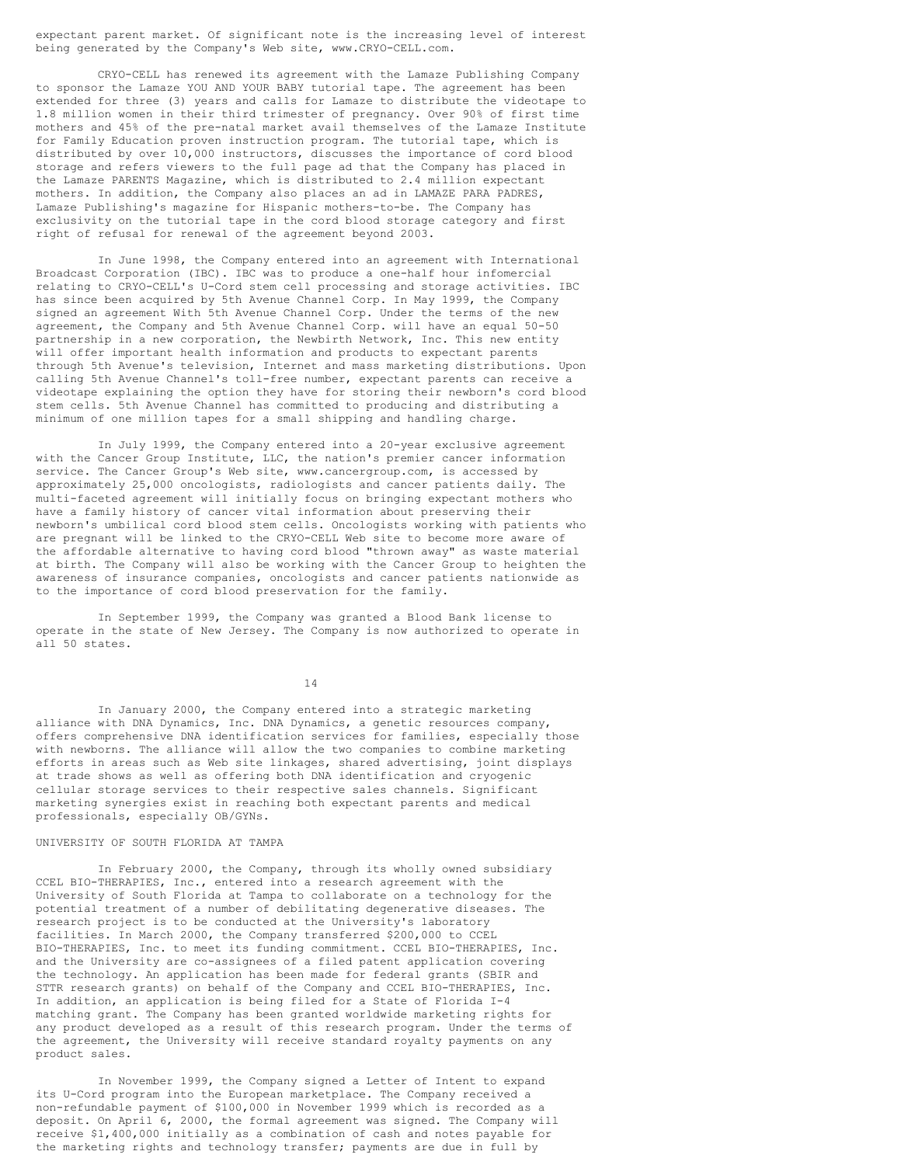expectant parent market. Of significant note is the increasing level of interest being generated by the Company's Web site, www.CRYO-CELL.com.

CRYO-CELL has renewed its agreement with the Lamaze Publishing Company to sponsor the Lamaze YOU AND YOUR BABY tutorial tape. The agreement has been extended for three (3) years and calls for Lamaze to distribute the videotape to 1.8 million women in their third trimester of pregnancy. Over 90% of first time mothers and 45% of the pre-natal market avail themselves of the Lamaze Institute for Family Education proven instruction program. The tutorial tape, which is distributed by over 10,000 instructors, discusses the importance of cord blood storage and refers viewers to the full page ad that the Company has placed in the Lamaze PARENTS Magazine, which is distributed to 2.4 million expectant mothers. In addition, the Company also places an ad in LAMAZE PARA PADRES, Lamaze Publishing's magazine for Hispanic mothers-to-be. The Company has exclusivity on the tutorial tape in the cord blood storage category and first right of refusal for renewal of the agreement beyond 2003.

In June 1998, the Company entered into an agreement with International Broadcast Corporation (IBC). IBC was to produce a one-half hour infomercial relating to CRYO-CELL's U-Cord stem cell processing and storage activities. IBC has since been acquired by 5th Avenue Channel Corp. In May 1999, the Company signed an agreement With 5th Avenue Channel Corp. Under the terms of the new agreement, the Company and 5th Avenue Channel Corp. will have an equal 50-50 partnership in a new corporation, the Newbirth Network, Inc. This new entity will offer important health information and products to expectant parents through 5th Avenue's television, Internet and mass marketing distributions. Upon calling 5th Avenue Channel's toll-free number, expectant parents can receive a videotape explaining the option they have for storing their newborn's cord blood stem cells. 5th Avenue Channel has committed to producing and distributing a minimum of one million tapes for a small shipping and handling charge.

In July 1999, the Company entered into a 20-year exclusive agreement with the Cancer Group Institute, LLC, the nation's premier cancer information service. The Cancer Group's Web site, www.cancergroup.com, is accessed by approximately 25,000 oncologists, radiologists and cancer patients daily. The multi-faceted agreement will initially focus on bringing expectant mothers who have a family history of cancer vital information about preserving their newborn's umbilical cord blood stem cells. Oncologists working with patients who are pregnant will be linked to the CRYO-CELL Web site to become more aware of the affordable alternative to having cord blood "thrown away" as waste material at birth. The Company will also be working with the Cancer Group to heighten the awareness of insurance companies, oncologists and cancer patients nationwide as to the importance of cord blood preservation for the family.

In September 1999, the Company was granted a Blood Bank license to operate in the state of New Jersey. The Company is now authorized to operate in all 50 states.

14

In January 2000, the Company entered into a strategic marketing alliance with DNA Dynamics, Inc. DNA Dynamics, a genetic resources company, offers comprehensive DNA identification services for families, especially those with newborns. The alliance will allow the two companies to combine marketing efforts in areas such as Web site linkages, shared advertising, joint displays at trade shows as well as offering both DNA identification and cryogenic cellular storage services to their respective sales channels. Significant marketing synergies exist in reaching both expectant parents and medical professionals, especially OB/GYNs.

# UNIVERSITY OF SOUTH FLORIDA AT TAMPA

In February 2000, the Company, through its wholly owned subsidiary CCEL BIO-THERAPIES, Inc., entered into a research agreement with the University of South Florida at Tampa to collaborate on a technology for the potential treatment of a number of debilitating degenerative diseases. The research project is to be conducted at the University's laboratory facilities. In March 2000, the Company transferred \$200,000 to CCEL BIO-THERAPIES, Inc. to meet its funding commitment. CCEL BIO-THERAPIES, Inc. and the University are co-assignees of a filed patent application covering the technology. An application has been made for federal grants (SBIR and STTR research grants) on behalf of the Company and CCEL BIO-THERAPIES, Inc. In addition, an application is being filed for a State of Florida I-4 matching grant. The Company has been granted worldwide marketing rights for any product developed as a result of this research program. Under the terms of the agreement, the University will receive standard royalty payments on any product sales.

In November 1999, the Company signed a Letter of Intent to expand its U-Cord program into the European marketplace. The Company received a non-refundable payment of \$100,000 in November 1999 which is recorded as a deposit. On April 6, 2000, the formal agreement was signed. The Company will receive \$1,400,000 initially as a combination of cash and notes payable for the marketing rights and technology transfer; payments are due in full by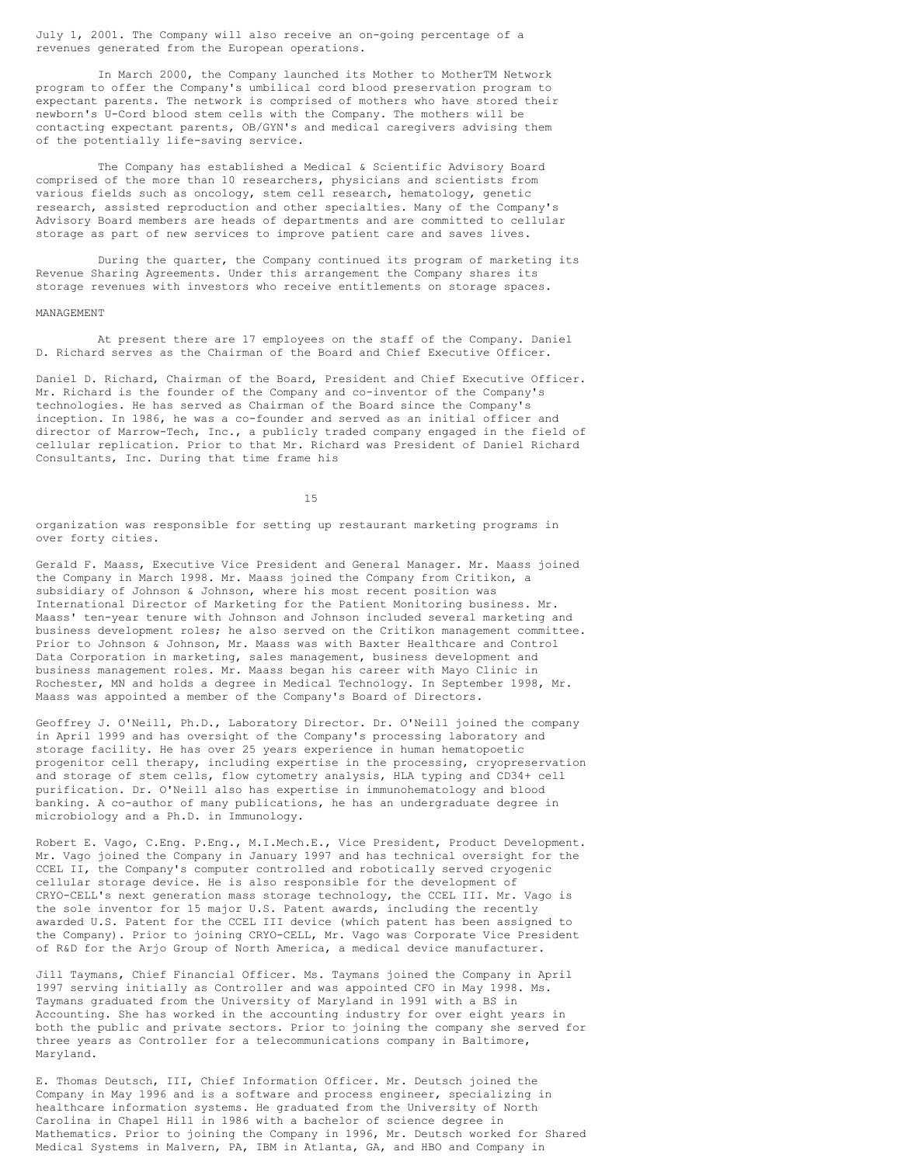July 1, 2001. The Company will also receive an on-going percentage of a revenues generated from the European operations.

In March 2000, the Company launched its Mother to MotherTM Network program to offer the Company's umbilical cord blood preservation program to expectant parents. The network is comprised of mothers who have stored their newborn's U-Cord blood stem cells with the Company. The mothers will be contacting expectant parents, OB/GYN's and medical caregivers advising them of the potentially life-saving service.

The Company has established a Medical & Scientific Advisory Board comprised of the more than 10 researchers, physicians and scientists from various fields such as oncology, stem cell research, hematology, genetic research, assisted reproduction and other specialties. Many of the Company's Advisory Board members are heads of departments and are committed to cellular storage as part of new services to improve patient care and saves lives.

During the quarter, the Company continued its program of marketing its Revenue Sharing Agreements. Under this arrangement the Company shares its storage revenues with investors who receive entitlements on storage spaces.

#### MANAGEMENT

At present there are 17 employees on the staff of the Company. Daniel D. Richard serves as the Chairman of the Board and Chief Executive Officer.

Daniel D. Richard, Chairman of the Board, President and Chief Executive Officer. Mr. Richard is the founder of the Company and co-inventor of the Company's technologies. He has served as Chairman of the Board since the Company's inception. In 1986, he was a co-founder and served as an initial officer and director of Marrow-Tech, Inc., a publicly traded company engaged in the field of cellular replication. Prior to that Mr. Richard was President of Daniel Richard Consultants, Inc. During that time frame his

15

organization was responsible for setting up restaurant marketing programs in over forty cities.

Gerald F. Maass, Executive Vice President and General Manager. Mr. Maass joined the Company in March 1998. Mr. Maass joined the Company from Critikon, a subsidiary of Johnson & Johnson, where his most recent position was International Director of Marketing for the Patient Monitoring business. Mr. Maass' ten-year tenure with Johnson and Johnson included several marketing and business development roles; he also served on the Critikon management committee. Prior to Johnson & Johnson, Mr. Maass was with Baxter Healthcare and Control Data Corporation in marketing, sales management, business development and business management roles. Mr. Maass began his career with Mayo Clinic in Rochester, MN and holds a degree in Medical Technology. In September 1998, Mr. Maass was appointed a member of the Company's Board of Directors.

Geoffrey J. O'Neill, Ph.D., Laboratory Director. Dr. O'Neill joined the company in April 1999 and has oversight of the Company's processing laboratory and storage facility. He has over 25 years experience in human hematopoetic progenitor cell therapy, including expertise in the processing, cryopreservation and storage of stem cells, flow cytometry analysis, HLA typing and CD34+ cell purification. Dr. O'Neill also has expertise in immunohematology and blood banking. A co-author of many publications, he has an undergraduate degree in microbiology and a Ph.D. in Immunology.

Robert E. Vago, C.Eng. P.Eng., M.I.Mech.E., Vice President, Product Development. Mr. Vago joined the Company in January 1997 and has technical oversight for the CCEL II, the Company's computer controlled and robotically served cryogenic cellular storage device. He is also responsible for the development of CRYO-CELL's next generation mass storage technology, the CCEL III. Mr. Vago is the sole inventor for 15 major U.S. Patent awards, including the recently awarded U.S. Patent for the CCEL III device (which patent has been assigned to the Company). Prior to joining CRYO-CELL, Mr. Vago was Corporate Vice President of R&D for the Arjo Group of North America, a medical device manufacturer.

Jill Taymans, Chief Financial Officer. Ms. Taymans joined the Company in April 1997 serving initially as Controller and was appointed CFO in May 1998. Ms. Taymans graduated from the University of Maryland in 1991 with a BS in Accounting. She has worked in the accounting industry for over eight years in both the public and private sectors. Prior to joining the company she served for three years as Controller for a telecommunications company in Baltimore, Maryland.

E. Thomas Deutsch, III, Chief Information Officer. Mr. Deutsch joined the Company in May 1996 and is a software and process engineer, specializing in healthcare information systems. He graduated from the University of North Carolina in Chapel Hill in 1986 with a bachelor of science degree in Mathematics. Prior to joining the Company in 1996, Mr. Deutsch worked for Shared Medical Systems in Malvern, PA, IBM in Atlanta, GA, and HBO and Company in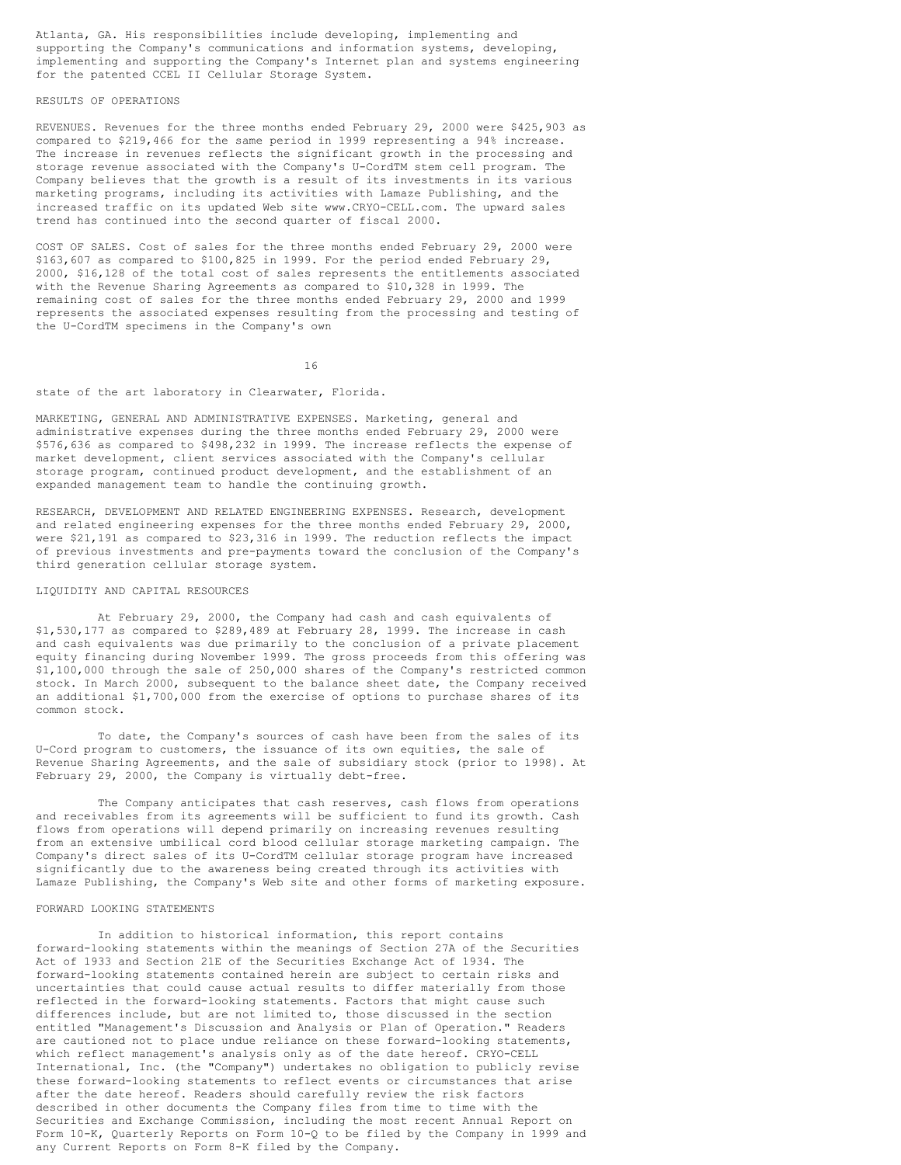Atlanta, GA. His responsibilities include developing, implementing and supporting the Company's communications and information systems, developing, implementing and supporting the Company's Internet plan and systems engineering for the patented CCEL II Cellular Storage System.

# RESULTS OF OPERATIONS

REVENUES. Revenues for the three months ended February 29, 2000 were \$425,903 as compared to \$219,466 for the same period in 1999 representing a 94% increase. The increase in revenues reflects the significant growth in the processing and storage revenue associated with the Company's U-CordTM stem cell program. The Company believes that the growth is a result of its investments in its various marketing programs, including its activities with Lamaze Publishing, and the increased traffic on its updated Web site www.CRYO-CELL.com. The upward sales trend has continued into the second quarter of fiscal 2000.

COST OF SALES. Cost of sales for the three months ended February 29, 2000 were \$163,607 as compared to \$100,825 in 1999. For the period ended February 29, 2000, \$16,128 of the total cost of sales represents the entitlements associated with the Revenue Sharing Agreements as compared to \$10,328 in 1999. The remaining cost of sales for the three months ended February 29, 2000 and 1999 represents the associated expenses resulting from the processing and testing of the U-CordTM specimens in the Company's own

16

state of the art laboratory in Clearwater, Florida.

MARKETING, GENERAL AND ADMINISTRATIVE EXPENSES. Marketing, general and administrative expenses during the three months ended February 29, 2000 were \$576,636 as compared to \$498,232 in 1999. The increase reflects the expense of market development, client services associated with the Company's cellular storage program, continued product development, and the establishment of an expanded management team to handle the continuing growth.

RESEARCH, DEVELOPMENT AND RELATED ENGINEERING EXPENSES. Research, development and related engineering expenses for the three months ended February 29, 2000, were \$21,191 as compared to \$23,316 in 1999. The reduction reflects the impact of previous investments and pre-payments toward the conclusion of the Company's third generation cellular storage system.

# LIQUIDITY AND CAPITAL RESOURCES

At February 29, 2000, the Company had cash and cash equivalents of \$1,530,177 as compared to \$289,489 at February 28, 1999. The increase in cash and cash equivalents was due primarily to the conclusion of a private placement equity financing during November 1999. The gross proceeds from this offering was \$1,100,000 through the sale of 250,000 shares of the Company's restricted common stock. In March 2000, subsequent to the balance sheet date, the Company received an additional \$1,700,000 from the exercise of options to purchase shares of its common stock.

To date, the Company's sources of cash have been from the sales of its U-Cord program to customers, the issuance of its own equities, the sale of Revenue Sharing Agreements, and the sale of subsidiary stock (prior to 1998). At February 29, 2000, the Company is virtually debt-free.

The Company anticipates that cash reserves, cash flows from operations and receivables from its agreements will be sufficient to fund its growth. Cash flows from operations will depend primarily on increasing revenues resulting from an extensive umbilical cord blood cellular storage marketing campaign. The Company's direct sales of its U-CordTM cellular storage program have increased significantly due to the awareness being created through its activities with Lamaze Publishing, the Company's Web site and other forms of marketing exposure.

# FORWARD LOOKING STATEMENTS

In addition to historical information, this report contains forward-looking statements within the meanings of Section 27A of the Securities Act of 1933 and Section 21E of the Securities Exchange Act of 1934. The forward-looking statements contained herein are subject to certain risks and uncertainties that could cause actual results to differ materially from those reflected in the forward-looking statements. Factors that might cause such differences include, but are not limited to, those discussed in the section entitled "Management's Discussion and Analysis or Plan of Operation." Readers are cautioned not to place undue reliance on these forward-looking statements, which reflect management's analysis only as of the date hereof. CRYO-CELL International, Inc. (the "Company") undertakes no obligation to publicly revise these forward-looking statements to reflect events or circumstances that arise after the date hereof. Readers should carefully review the risk factors described in other documents the Company files from time to time with the Securities and Exchange Commission, including the most recent Annual Report on Form 10-K, Quarterly Reports on Form 10-Q to be filed by the Company in 1999 and any Current Reports on Form 8-K filed by the Company.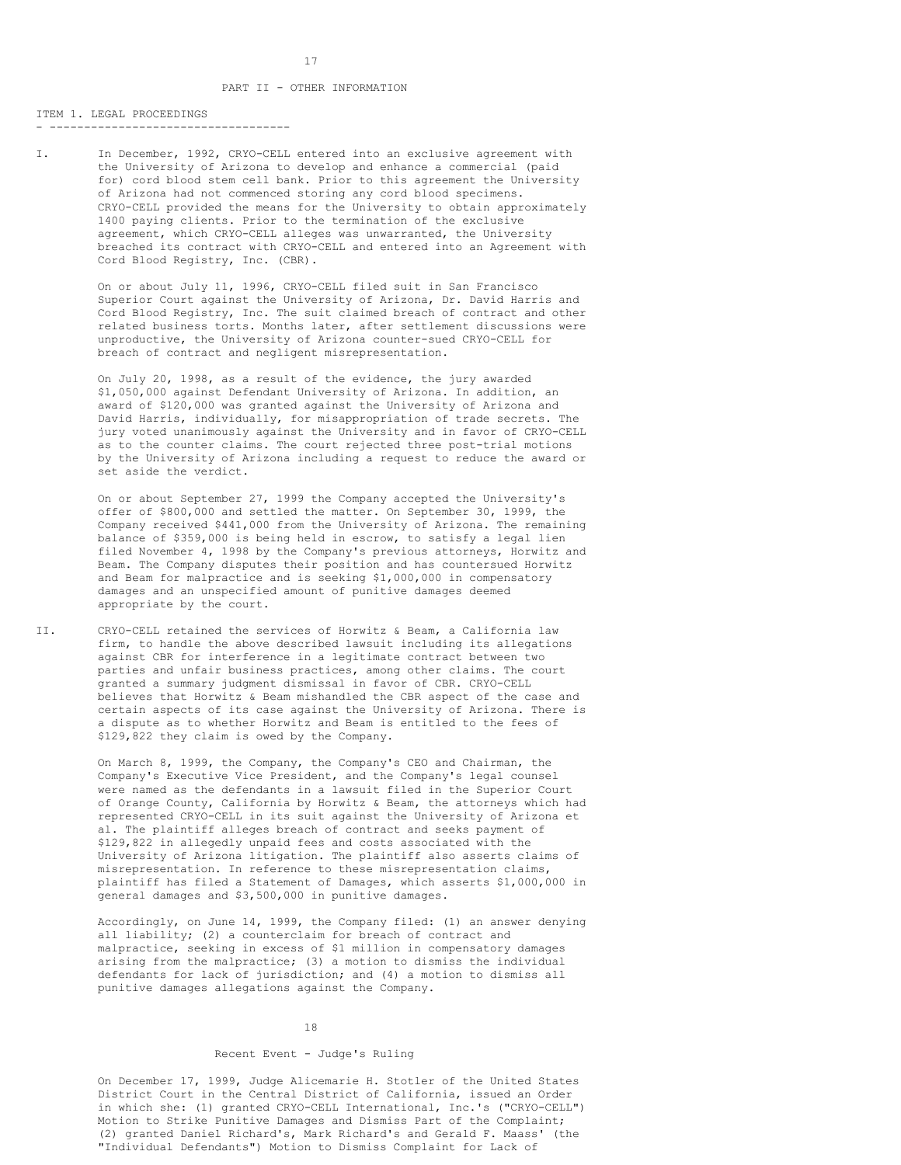#### ITEM 1. LEGAL PROCEEDINGS - -----------------------------------

I. In December, 1992, CRYO-CELL entered into an exclusive agreement with the University of Arizona to develop and enhance a commercial (paid for) cord blood stem cell bank. Prior to this agreement the University of Arizona had not commenced storing any cord blood specimens. CRYO-CELL provided the means for the University to obtain approximately 1400 paying clients. Prior to the termination of the exclusive agreement, which CRYO-CELL alleges was unwarranted, the University breached its contract with CRYO-CELL and entered into an Agreement with Cord Blood Registry, Inc. (CBR).

> On or about July 11, 1996, CRYO-CELL filed suit in San Francisco Superior Court against the University of Arizona, Dr. David Harris and Cord Blood Registry, Inc. The suit claimed breach of contract and other related business torts. Months later, after settlement discussions were unproductive, the University of Arizona counter-sued CRYO-CELL for breach of contract and negligent misrepresentation.

> On July 20, 1998, as a result of the evidence, the jury awarded \$1,050,000 against Defendant University of Arizona. In addition, an award of \$120,000 was granted against the University of Arizona and David Harris, individually, for misappropriation of trade secrets. The jury voted unanimously against the University and in favor of CRYO-CELL as to the counter claims. The court rejected three post-trial motions by the University of Arizona including a request to reduce the award or set aside the verdict.

> On or about September 27, 1999 the Company accepted the University's offer of \$800,000 and settled the matter. On September 30, 1999, the Company received \$441,000 from the University of Arizona. The remaining balance of \$359,000 is being held in escrow, to satisfy a legal lien filed November 4, 1998 by the Company's previous attorneys, Horwitz and Beam. The Company disputes their position and has countersued Horwitz and Beam for malpractice and is seeking \$1,000,000 in compensatory damages and an unspecified amount of punitive damages deemed appropriate by the court.

II. CRYO-CELL retained the services of Horwitz & Beam, a California law firm, to handle the above described lawsuit including its allegations against CBR for interference in a legitimate contract between two parties and unfair business practices, among other claims. The court granted a summary judgment dismissal in favor of CBR. CRYO-CELL believes that Horwitz & Beam mishandled the CBR aspect of the case and certain aspects of its case against the University of Arizona. There is a dispute as to whether Horwitz and Beam is entitled to the fees of \$129,822 they claim is owed by the Company.

> On March 8, 1999, the Company, the Company's CEO and Chairman, the Company's Executive Vice President, and the Company's legal counsel were named as the defendants in a lawsuit filed in the Superior Court of Orange County, California by Horwitz & Beam, the attorneys which had represented CRYO-CELL in its suit against the University of Arizona et al. The plaintiff alleges breach of contract and seeks payment of \$129,822 in allegedly unpaid fees and costs associated with the University of Arizona litigation. The plaintiff also asserts claims of misrepresentation. In reference to these misrepresentation claims, plaintiff has filed a Statement of Damages, which asserts \$1,000,000 in general damages and \$3,500,000 in punitive damages.

> Accordingly, on June 14, 1999, the Company filed: (1) an answer denying all liability; (2) a counterclaim for breach of contract and malpractice, seeking in excess of \$1 million in compensatory damages arising from the malpractice; (3) a motion to dismiss the individual defendants for lack of jurisdiction; and (4) a motion to dismiss all punitive damages allegations against the Company.

#### 18

## Recent Event - Judge's Ruling

On December 17, 1999, Judge Alicemarie H. Stotler of the United States District Court in the Central District of California, issued an Order in which she: (1) granted CRYO-CELL International, Inc.'s ("CRYO-CELL") Motion to Strike Punitive Damages and Dismiss Part of the Complaint; (2) granted Daniel Richard's, Mark Richard's and Gerald F. Maass' (the "Individual Defendants") Motion to Dismiss Complaint for Lack of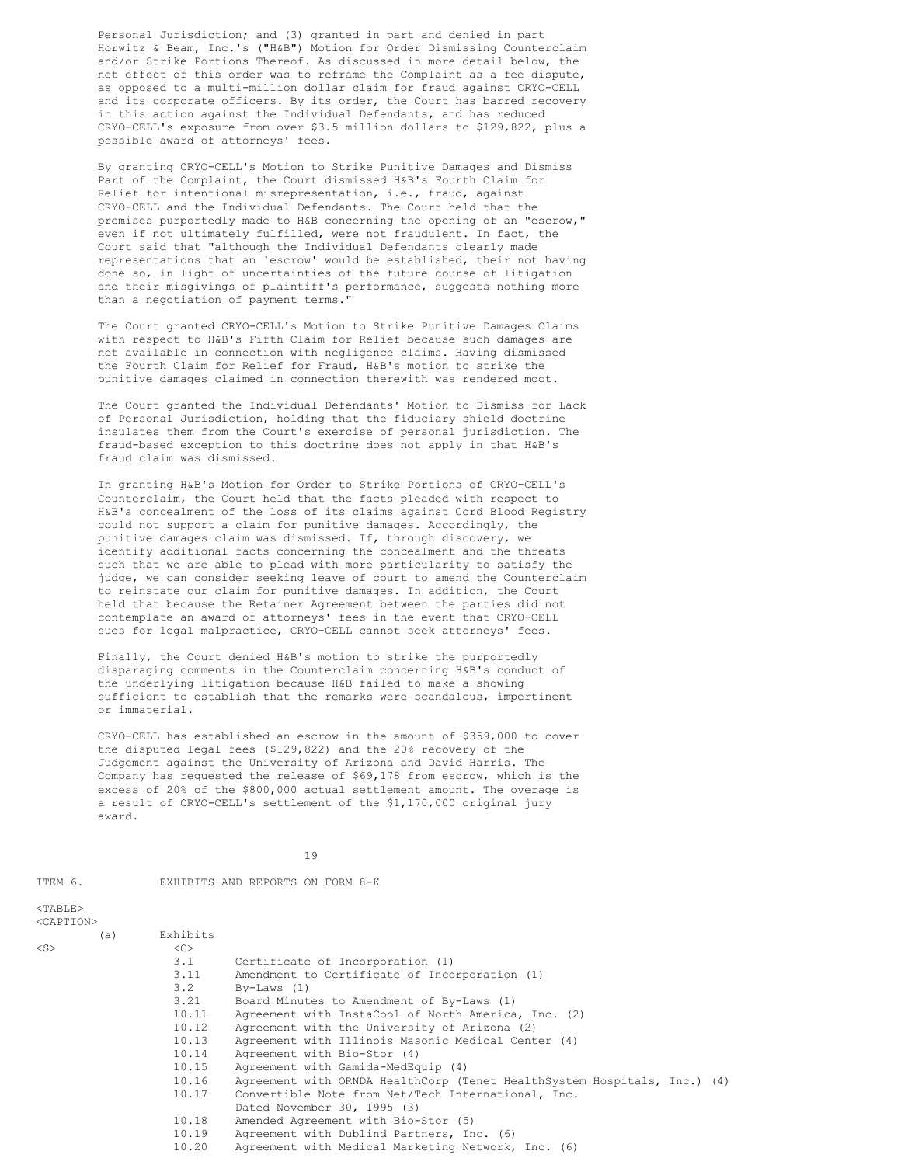Personal Jurisdiction; and (3) granted in part and denied in part Horwitz & Beam, Inc.'s ("H&B") Motion for Order Dismissing Counterclaim and/or Strike Portions Thereof. As discussed in more detail below, the net effect of this order was to reframe the Complaint as a fee dispute, as opposed to a multi-million dollar claim for fraud against CRYO-CELL and its corporate officers. By its order, the Court has barred recovery in this action against the Individual Defendants, and has reduced CRYO-CELL's exposure from over \$3.5 million dollars to \$129,822, plus a possible award of attorneys' fees.

By granting CRYO-CELL's Motion to Strike Punitive Damages and Dismiss Part of the Complaint, the Court dismissed H&B's Fourth Claim for Relief for intentional misrepresentation, i.e., fraud, against CRYO-CELL and the Individual Defendants. The Court held that the promises purportedly made to H&B concerning the opening of an "escrow," even if not ultimately fulfilled, were not fraudulent. In fact, the Court said that "although the Individual Defendants clearly made representations that an 'escrow' would be established, their not having done so, in light of uncertainties of the future course of litigation and their misgivings of plaintiff's performance, suggests nothing more than a negotiation of payment terms."

The Court granted CRYO-CELL's Motion to Strike Punitive Damages Claims with respect to H&B's Fifth Claim for Relief because such damages are not available in connection with negligence claims. Having dismissed the Fourth Claim for Relief for Fraud, H&B's motion to strike the punitive damages claimed in connection therewith was rendered moot.

The Court granted the Individual Defendants' Motion to Dismiss for Lack of Personal Jurisdiction, holding that the fiduciary shield doctrine insulates them from the Court's exercise of personal jurisdiction. The fraud-based exception to this doctrine does not apply in that H&B's fraud claim was dismissed.

In granting H&B's Motion for Order to Strike Portions of CRYO-CELL's Counterclaim, the Court held that the facts pleaded with respect to H&B's concealment of the loss of its claims against Cord Blood Registry could not support a claim for punitive damages. Accordingly, the punitive damages claim was dismissed. If, through discovery, we identify additional facts concerning the concealment and the threats such that we are able to plead with more particularity to satisfy the judge, we can consider seeking leave of court to amend the Counterclaim to reinstate our claim for punitive damages. In addition, the Court held that because the Retainer Agreement between the parties did not contemplate an award of attorneys' fees in the event that CRYO-CELL sues for legal malpractice, CRYO-CELL cannot seek attorneys' fees.

Finally, the Court denied H&B's motion to strike the purportedly disparaging comments in the Counterclaim concerning H&B's conduct of the underlying litigation because H&B failed to make a showing sufficient to establish that the remarks were scandalous, impertinent or immaterial.

CRYO-CELL has established an escrow in the amount of \$359,000 to cover the disputed legal fees (\$129,822) and the 20% recovery of the Judgement against the University of Arizona and David Harris. The Company has requested the release of \$69,178 from escrow, which is the excess of 20% of the \$800,000 actual settlement amount. The overage is a result of CRYO-CELL's settlement of the \$1,170,000 original jury award.

19

<CAPTION>

ITEM 6. EXHIBITS AND REPORTS ON FORM 8-K

|           | (a) | Exhibits      |                                                                          |
|-----------|-----|---------------|--------------------------------------------------------------------------|
| $<$ S $>$ |     | < <sub></sub> |                                                                          |
|           |     | 3.1           | Certificate of Incorporation (1)                                         |
|           |     | 3.11          | Amendment to Certificate of Incorporation (1)                            |
|           |     | 3.2           | $By-Laws (1)$                                                            |
|           |     | 3.21          | Board Minutes to Amendment of By-Laws (1)                                |
|           |     | 10.11         | Agreement with InstaCool of North America, Inc. (2)                      |
|           |     | 10.12         | Agreement with the University of Arizona (2)                             |
|           |     | 10.13         | Agreement with Illinois Masonic Medical Center (4)                       |
|           |     | 10.14         | Agreement with Bio-Stor (4)                                              |
|           |     | 10.15         | Agreement with Gamida-MedEquip (4)                                       |
|           |     | 10.16         | Agreement with ORNDA HealthCorp (Tenet HealthSystem Hospitals, Inc.) (4) |
|           |     | 10.17         | Convertible Note from Net/Tech International, Inc.                       |
|           |     |               | Dated November 30, 1995 (3)                                              |
|           |     | 10.18         | Amended Agreement with Bio-Stor (5)                                      |
|           |     | 10.19         | Agreement with Dublind Partners, Inc. (6)                                |
|           |     | 10.20         | Agreement with Medical Marketing Network, Inc. (6)                       |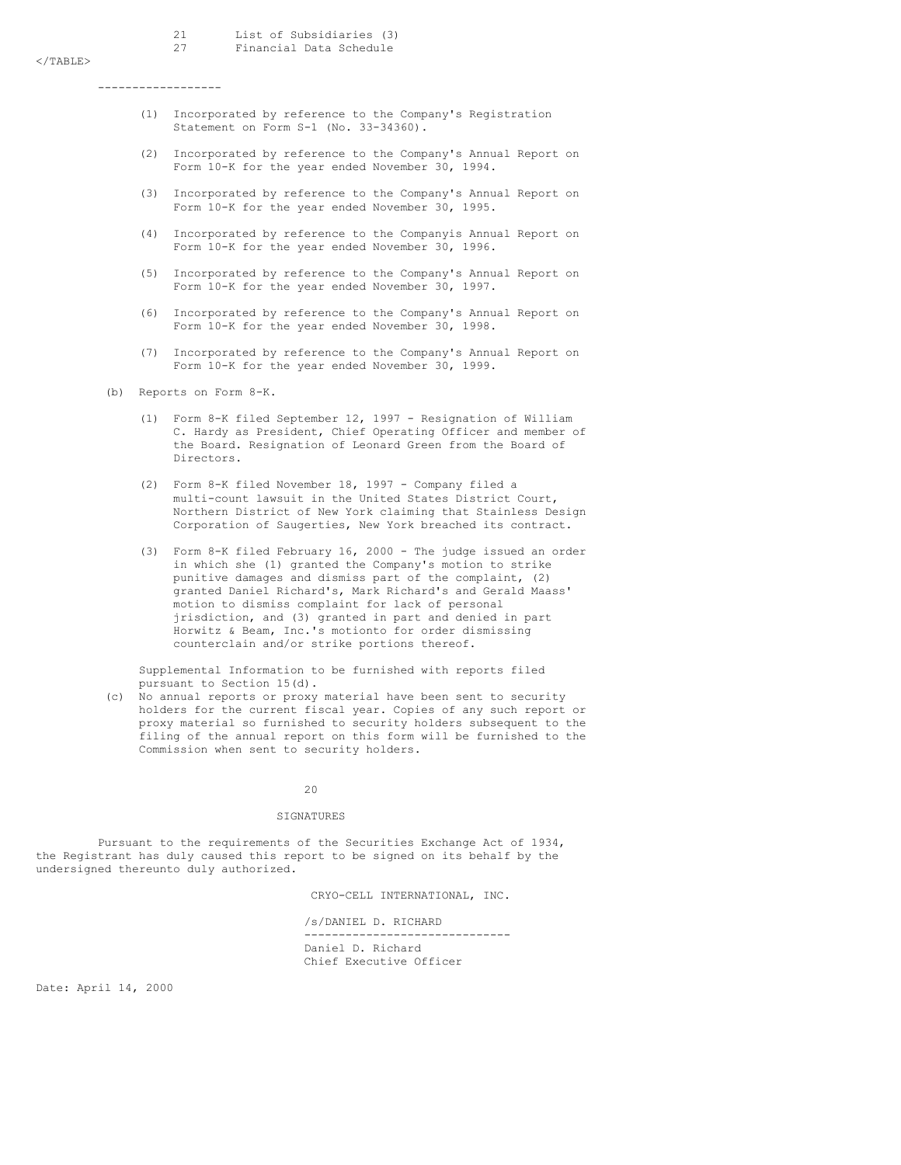$<$ /TABLE>

------------------

- (1) Incorporated by reference to the Company's Registration Statement on Form S-1 (No. 33-34360).
- (2) Incorporated by reference to the Company's Annual Report on Form 10-K for the year ended November 30, 1994.
- (3) Incorporated by reference to the Company's Annual Report on Form 10-K for the year ended November 30, 1995.
- (4) Incorporated by reference to the Companyis Annual Report on Form 10-K for the year ended November 30, 1996.
- (5) Incorporated by reference to the Company's Annual Report on Form 10-K for the year ended November 30, 1997.
- (6) Incorporated by reference to the Company's Annual Report on Form 10-K for the year ended November 30, 1998.
- Incorporated by reference to the Company's Annual Report on Form 10-K for the year ended November 30, 1999.

(b) Reports on Form 8-K.

- (1) Form 8-K filed September 12, 1997 Resignation of William C. Hardy as President, Chief Operating Officer and member of the Board. Resignation of Leonard Green from the Board of Directors.
- (2) Form 8-K filed November 18, 1997 Company filed a multi-count lawsuit in the United States District Court, Northern District of New York claiming that Stainless Design Corporation of Saugerties, New York breached its contract.
- (3) Form 8-K filed February 16, 2000 The judge issued an order in which she (1) granted the Company's motion to strike punitive damages and dismiss part of the complaint, (2) granted Daniel Richard's, Mark Richard's and Gerald Maass' motion to dismiss complaint for lack of personal jrisdiction, and (3) granted in part and denied in part Horwitz & Beam, Inc.'s motionto for order dismissing counterclain and/or strike portions thereof.

Supplemental Information to be furnished with reports filed pursuant to Section 15(d).

(c) No annual reports or proxy material have been sent to security holders for the current fiscal year. Copies of any such report or proxy material so furnished to security holders subsequent to the filing of the annual report on this form will be furnished to the Commission when sent to security holders.

 $20$ 

# SIGNATURES

Pursuant to the requirements of the Securities Exchange Act of 1934, the Registrant has duly caused this report to be signed on its behalf by the undersigned thereunto duly authorized.

CRYO-CELL INTERNATIONAL, INC.

/s/DANIEL D. RICHARD ------------------------------ Daniel D. Richard Chief Executive Officer

Date: April 14, 2000